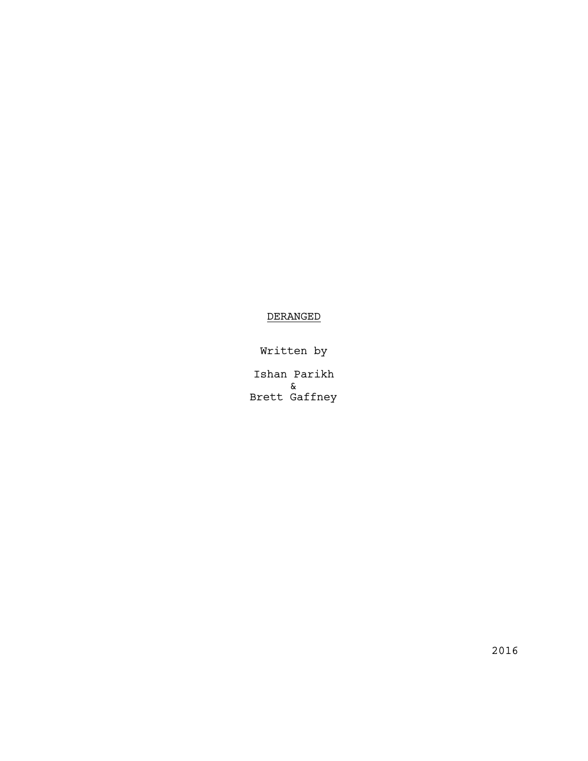# DERANGED

Written by

Ishan Parikh & Brett Gaffney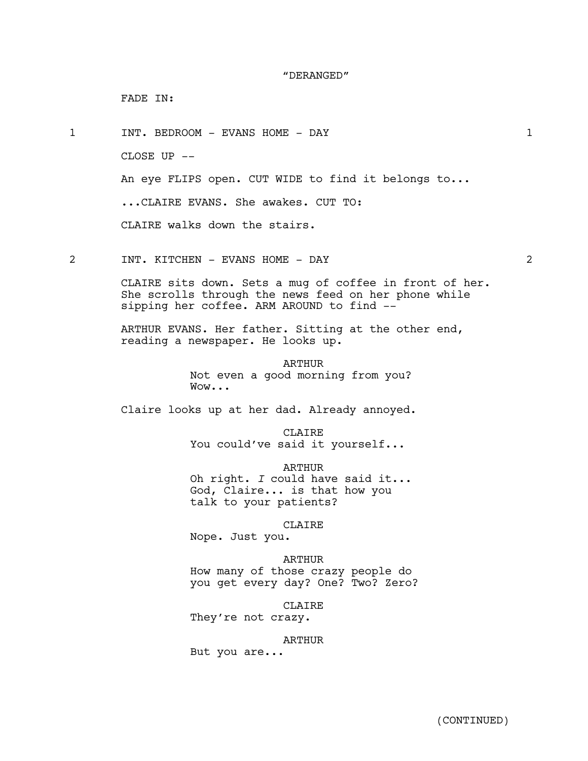### "DERANGED"

FADE IN:

1 INT. BEDROOM - EVANS HOME - DAY 1 CLOSE UP -- An eye FLIPS open. CUT WIDE to find it belongs to... ...CLAIRE EVANS. She awakes. CUT TO: CLAIRE walks down the stairs. 2 INT. KITCHEN - EVANS HOME - DAY 2 CLAIRE sits down. Sets a mug of coffee in front of her. She scrolls through the news feed on her phone while sipping her coffee. ARM AROUND to find -- ARTHUR EVANS. Her father. Sitting at the other end, reading a newspaper. He looks up. ARTHUR Not even a good morning from you? Wow...

Claire looks up at her dad. Already annoyed.

CLAIRE You could've said it yourself...

ARTHUR Oh right. *I* could have said it... God, Claire... is that how you talk to your patients?

CLAIRE

Nope. Just you.

ARTHUR How many of those crazy people do you get every day? One? Two? Zero?

CLAIRE They're not crazy.

ARTHUR

But you are...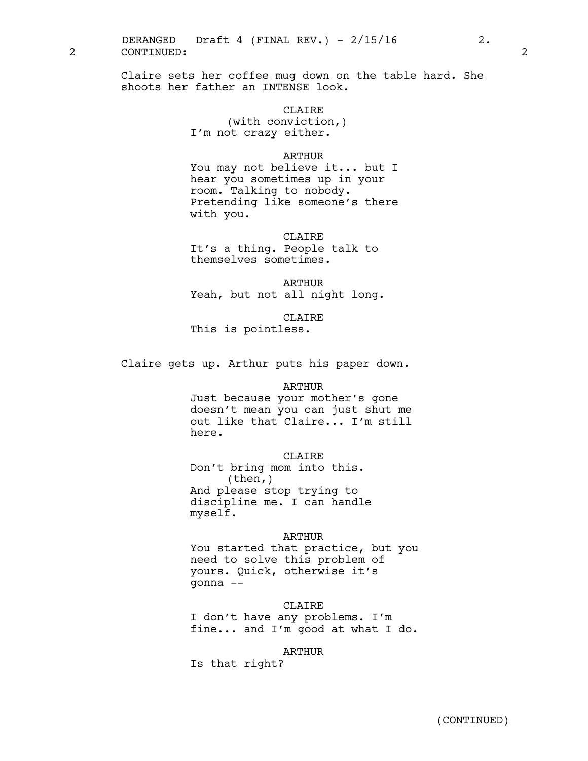Claire sets her coffee mug down on the table hard. She shoots her father an INTENSE look.

> CLAIRE (with conviction,) I'm not crazy either.

> > ARTHUR

You may not believe it... but I hear you sometimes up in your room. Talking to nobody. Pretending like someone's there with you.

CLAIRE It's a thing. People talk to themselves sometimes.

ARTHUR Yeah, but not all night long.

CLAIRE This is pointless.

Claire gets up. Arthur puts his paper down.

# ARTHUR

Just because your mother's gone doesn't mean you can just shut me out like that Claire... I'm still here.

CLAIRE

Don't bring mom into this. (then,) And please stop trying to discipline me. I can handle myself.

#### ARTHUR

You started that practice, but you need to solve this problem of yours. Quick, otherwise it's gonna --

#### CLAIRE

I don't have any problems. I'm fine... and I'm good at what I do.

### ARTHUR

Is that right?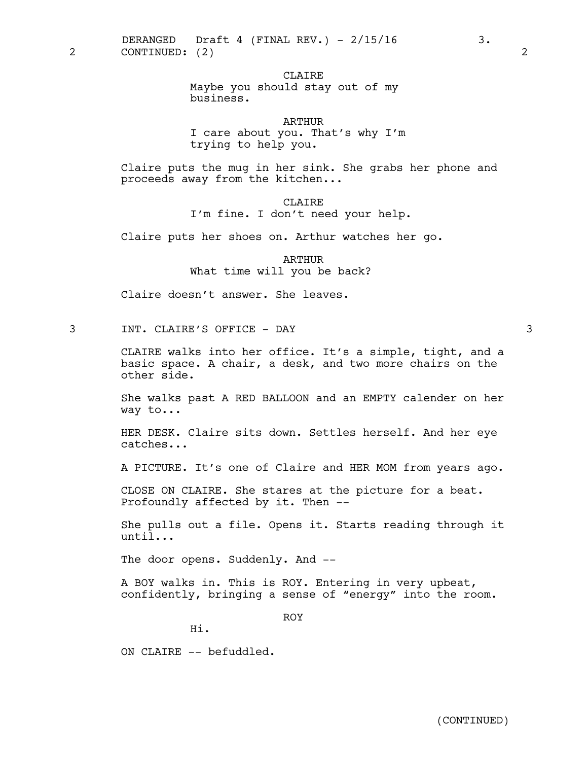# CLAIRE

Maybe you should stay out of my business.

ARTHUR I care about you. That's why I'm trying to help you.

Claire puts the mug in her sink. She grabs her phone and proceeds away from the kitchen...

> CLAIRE I'm fine. I don't need your help.

Claire puts her shoes on. Arthur watches her go.

ARTHUR What time will you be back?

Claire doesn't answer. She leaves.

3 INT. CLAIRE'S OFFICE - DAY 3

CLAIRE walks into her office. It's a simple, tight, and a basic space. A chair, a desk, and two more chairs on the other side.

She walks past A RED BALLOON and an EMPTY calender on her way to...

HER DESK. Claire sits down. Settles herself. And her eye catches...

A PICTURE. It's one of Claire and HER MOM from years ago.

CLOSE ON CLAIRE. She stares at the picture for a beat. Profoundly affected by it. Then --

She pulls out a file. Opens it. Starts reading through it until...

The door opens. Suddenly. And --

A BOY walks in. This is ROY. Entering in very upbeat, confidently, bringing a sense of "energy" into the room.

ROY

Hi.

ON CLAIRE -- befuddled.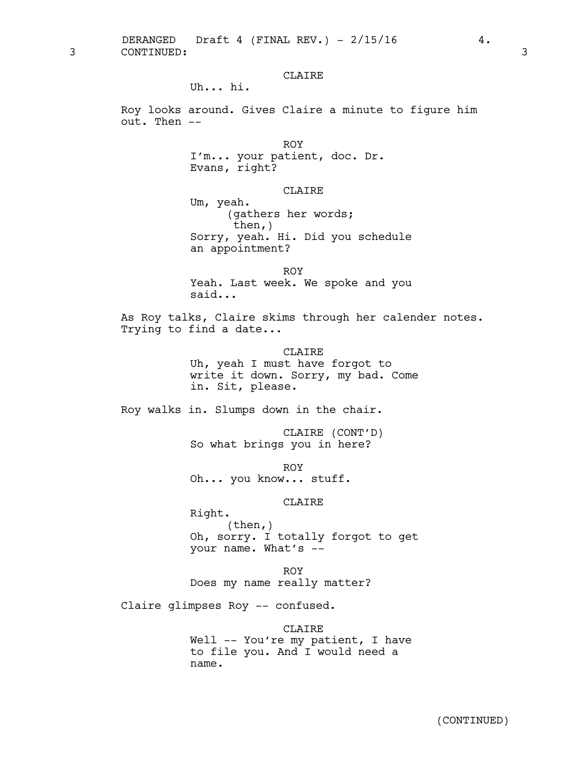## CLAIRE

Uh... hi.

Roy looks around. Gives Claire a minute to figure him out. Then --

> ROY I'm... your patient, doc. Dr. Evans, right?

### CLAIRE

Um, yeah. (gathers her words; then,) Sorry, yeah. Hi. Did you schedule an appointment?

ROY Yeah. Last week. We spoke and you said...

As Roy talks, Claire skims through her calender notes. Trying to find a date...

#### CLAIRE

Uh, yeah I must have forgot to write it down. Sorry, my bad. Come in. Sit, please.

Roy walks in. Slumps down in the chair.

CLAIRE (CONT'D) So what brings you in here?

ROY Oh... you know... stuff.

### CLAIRE

Right. (then,) Oh, sorry. I totally forgot to get your name. What's --

ROY Does my name really matter?

Claire glimpses Roy -- confused.

#### CLAIRE

Well -- You're my patient, I have to file you. And I would need a name.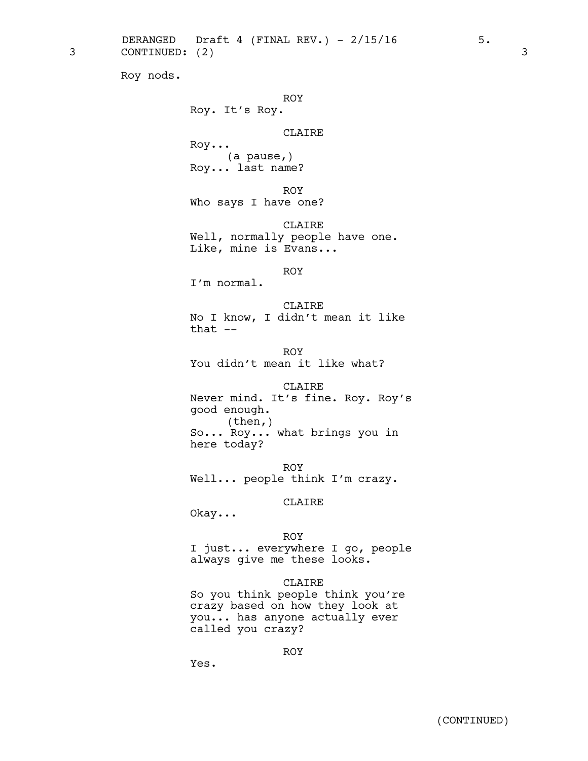Roy nods.

ROY Roy. It's Roy. CLAIRE Roy... (a pause,) Roy... last name? ROY Who says I have one? CLAIRE Well, normally people have one. Like, mine is Evans... ROY I'm normal. CLAIRE No I know, I didn't mean it like that  $--$ ROY You didn't mean it like what? CLAIRE Never mind. It's fine. Roy. Roy's good enough. (then,) So... Roy... what brings you in here today? ROY Well... people think I'm crazy. CLAIRE Okay... ROY I just... everywhere I go, people always give me these looks. CLAIRE

So you think people think you're crazy based on how they look at you... has anyone actually ever called you crazy?

ROY

Yes.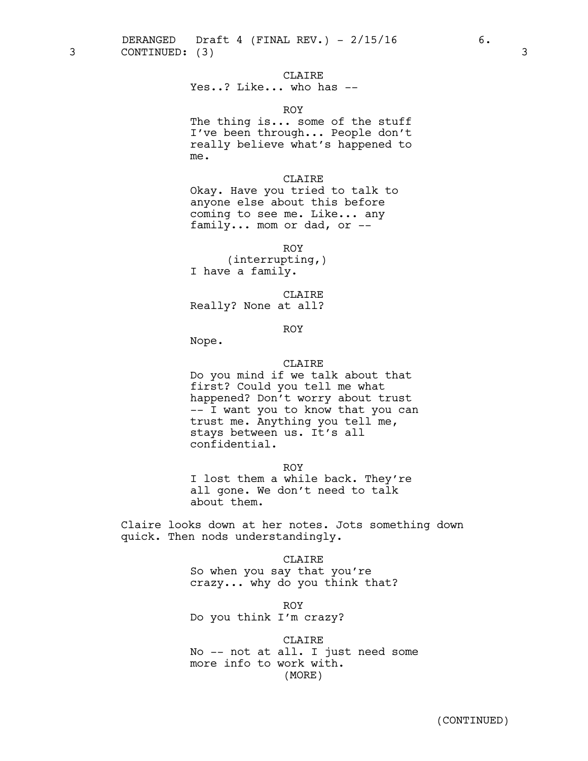### CLAIRE

# Yes..? Like... who has --

#### ROY

The thing is... some of the stuff I've been through... People don't really believe what's happened to me.

### CLAIRE

Okay. Have you tried to talk to anyone else about this before coming to see me. Like... any family... mom or dad, or --

ROY

(interrupting,) I have a family.

CLAIRE

Really? None at all?

#### ROY

Nope.

### CLAIRE

Do you mind if we talk about that first? Could you tell me what happened? Don't worry about trust -- I want you to know that you can trust me. Anything you tell me, stays between us. It's all confidential.

ROY

I lost them a while back. They're all gone. We don't need to talk about them.

Claire looks down at her notes. Jots something down quick. Then nods understandingly.

> CLAIRE So when you say that you're crazy... why do you think that?

ROY Do you think I'm crazy?

CLAIRE No -- not at all. I just need some more info to work with. (MORE)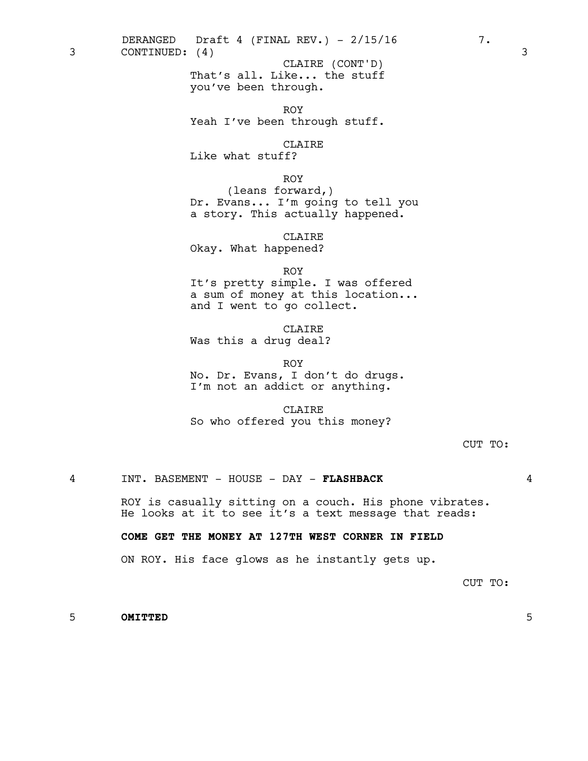That's all. Like... the stuff you've been through. 3 CONTINUED: (4) 3 CLAIRE (CONT'D)

> ROY Yeah I've been through stuff.

DERANGED Draft 4 (FINAL REV.) - 2/15/16 7.

CLAIRE

Like what stuff?

ROY

(leans forward,) Dr. Evans... I'm going to tell you a story. This actually happened.

CLAIRE

Okay. What happened?

ROY

It's pretty simple. I was offered a sum of money at this location... and I went to go collect.

CLAIRE Was this a drug deal?

ROY No. Dr. Evans, I don't do drugs. I'm not an addict or anything.

CLAIRE So who offered you this money?

CUT TO:

4 INT. BASEMENT - HOUSE - DAY - **FLASHBACK** 4

ROY is casually sitting on a couch. His phone vibrates. He looks at it to see it's a text message that reads:

# **COME GET THE MONEY AT 127TH WEST CORNER IN FIELD**

ON ROY. His face glows as he instantly gets up.

CUT TO:

5 **OMITTED** 5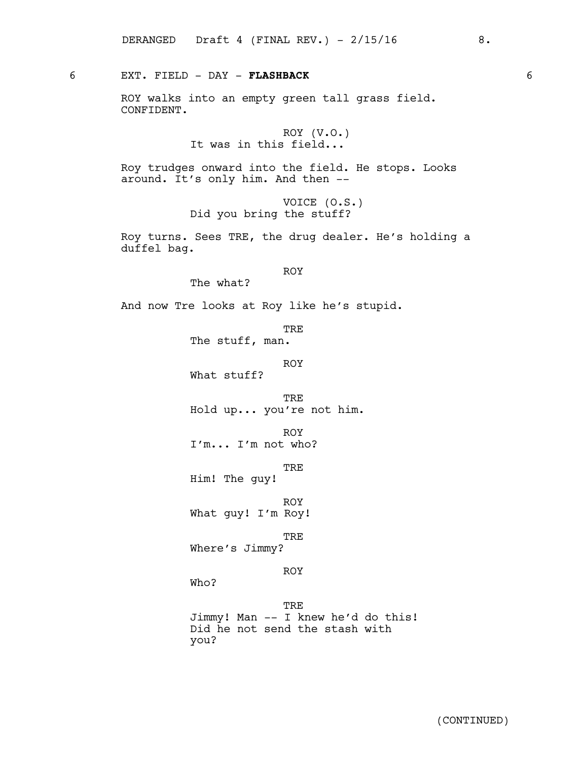# 6 EXT. FIELD - DAY - **FLASHBACK** 6

ROY walks into an empty green tall grass field. CONFIDENT.

> ROY (V.O.) It was in this field...

Roy trudges onward into the field. He stops. Looks around. It's only him. And then --

> VOICE (O.S.) Did you bring the stuff?

Roy turns. Sees TRE, the drug dealer. He's holding a duffel bag.

ROY

The what?

And now Tre looks at Roy like he's stupid.

TRE

The stuff, man.

ROY

What stuff?

TRE Hold up... you're not him.

ROY

I'm... I'm not who?

TRE

Him! The guy!

ROY What guy! I'm Roy!

TRE Where's Jimmy?

ROY

Who?

TRE Jimmy! Man -- I knew he'd do this! Did he not send the stash with you?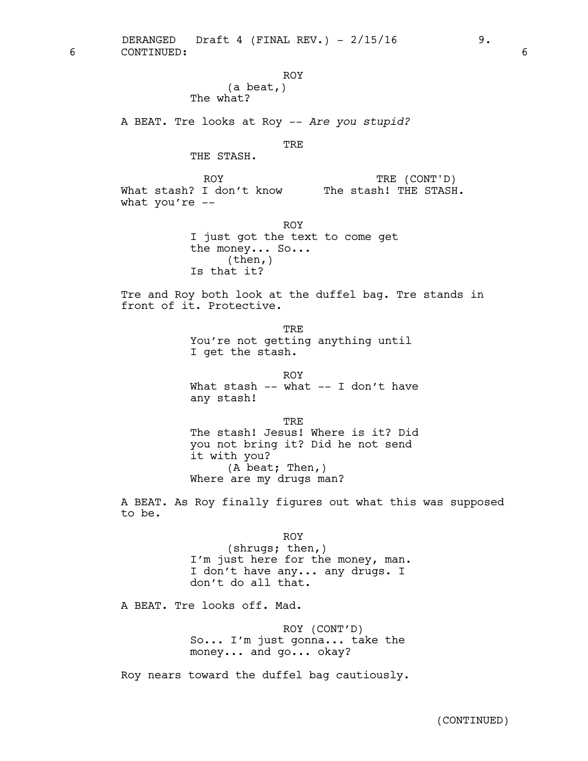(a beat,) The what?

A BEAT. Tre looks at Roy -- *Are you stupid?*

TRE

THE STASH.

ROY What stash? I don't know The stash! THE STASH. what you're  $-$ TRE (CONT'D)

> ROY I just got the text to come get the money... So... (then,) Is that it?

Tre and Roy both look at the duffel bag. Tre stands in front of it. Protective.

TRE

You're not getting anything until I get the stash.

ROY What stash  $--$  what  $--$  I don't have any stash!

TRE The stash! Jesus! Where is it? Did you not bring it? Did he not send it with you? (A beat; Then,) Where are my drugs man?

A BEAT. As Roy finally figures out what this was supposed to be.

ROY

(shrugs; then,) I'm just here for the money, man. I don't have any... any drugs. I don't do all that.

A BEAT. Tre looks off. Mad.

ROY (CONT'D) So... I'm just gonna... take the money... and go... okay?

Roy nears toward the duffel bag cautiously.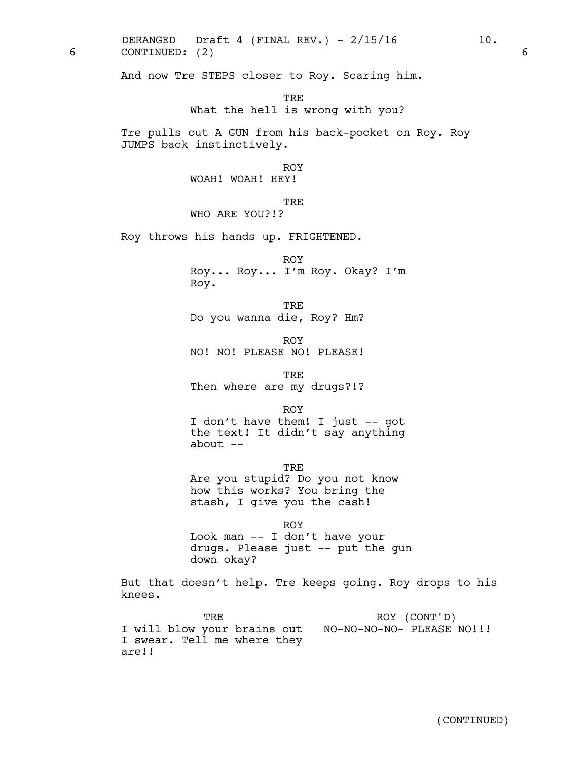And now Tre STEPS closer to Roy. Scaring him.

TRE What the hell is wrong with you?

Tre pulls out A GUN from his back-pocket on Roy. Roy JUMPS back instinctively.

ROY

WOAH! WOAH! HEY!

TRE

WHO ARE YOU?!?

Roy throws his hands up. FRIGHTENED.

ROY Roy... Roy... I'm Roy. Okay? I'm Roy.

TRE Do you wanna die, Roy? Hm?

ROY NO! NO! PLEASE NO! PLEASE!

TRE Then where are my drugs?!?

ROY

I don't have them! I just -- got the text! It didn't say anything about  $--$ 

TRE Are you stupid? Do you not know how this works? You bring the stash, I give you the cash!

ROY Look man -- I don't have your drugs. Please just -- put the gun down okay?

But that doesn't help. Tre keeps going. Roy drops to his knees.

TRE I will blow your brains out NO-NO-NO-NO- PLEASE NO!!! I swear. Tell me where they are!! ROY (CONT'D)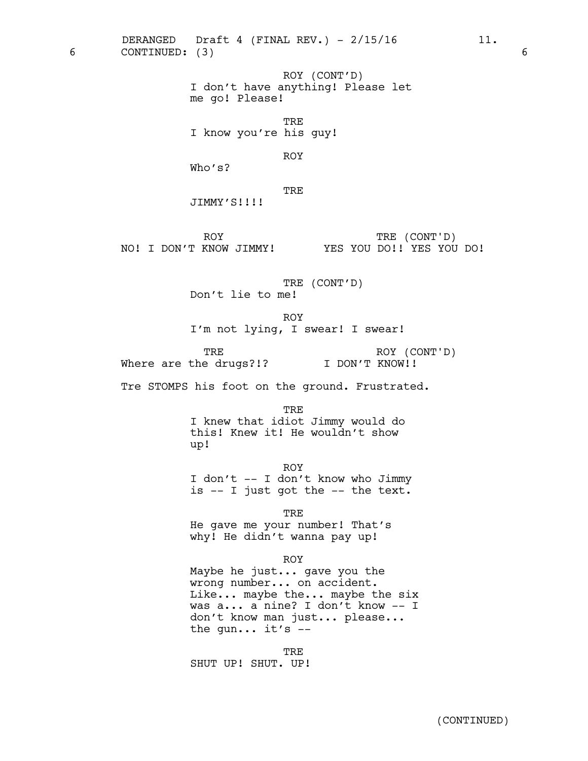ROY (CONT'D) I don't have anything! Please let me go! Please!

TRE I know you're his guy!

ROY

Who's?

JIMMY'S!!!!

TRE

ROY NO! I DON'T KNOW JIMMY! YES YOU DO!! YES YOU DO! TRE (CONT'D)

> TRE (CONT'D) Don't lie to me!

> > ROY

I'm not lying, I swear! I swear!

TRE Where are the drugs?!? ROY (CONT'D) I DON'T KNOW!!

Tre STOMPS his foot on the ground. Frustrated.

TRE I knew that idiot Jimmy would do this! Knew it! He wouldn't show up!

ROY I don't -- I don't know who Jimmy is -- I just got the -- the text.

TRE

He gave me your number! That's why! He didn't wanna pay up!

ROY

Maybe he just... gave you the wrong number... on accident. Like... maybe the... maybe the six was a... a nine? I don't know -- I don't know man just... please... the gun... it's --

TRE SHUT UP! SHUT. UP!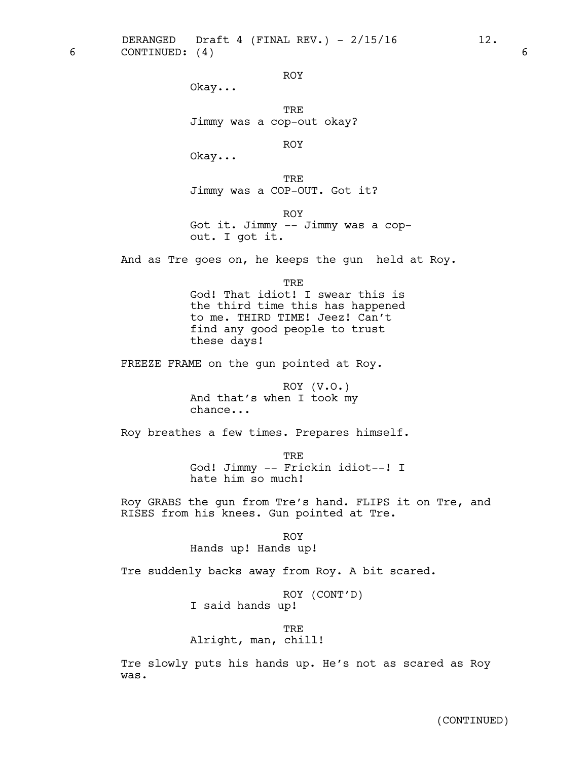Okay...

TRE Jimmy was a cop-out okay?

ROY

Okay...

TRE Jimmy was a COP-OUT. Got it?

ROY

Got it. Jimmy -- Jimmy was a copout. I got it.

And as Tre goes on, he keeps the gun held at Roy.

TRE

God! That idiot! I swear this is the third time this has happened to me. THIRD TIME! Jeez! Can't find any good people to trust these days!

FREEZE FRAME on the gun pointed at Roy.

ROY (V.O.) And that's when I took my chance...

Roy breathes a few times. Prepares himself.

TRE God! Jimmy -- Frickin idiot--! I hate him so much!

Roy GRABS the gun from Tre's hand. FLIPS it on Tre, and RISES from his knees. Gun pointed at Tre.

> ROY Hands up! Hands up!

Tre suddenly backs away from Roy. A bit scared.

ROY (CONT'D) I said hands up!

TRE Alright, man, chill!

Tre slowly puts his hands up. He's not as scared as Roy was.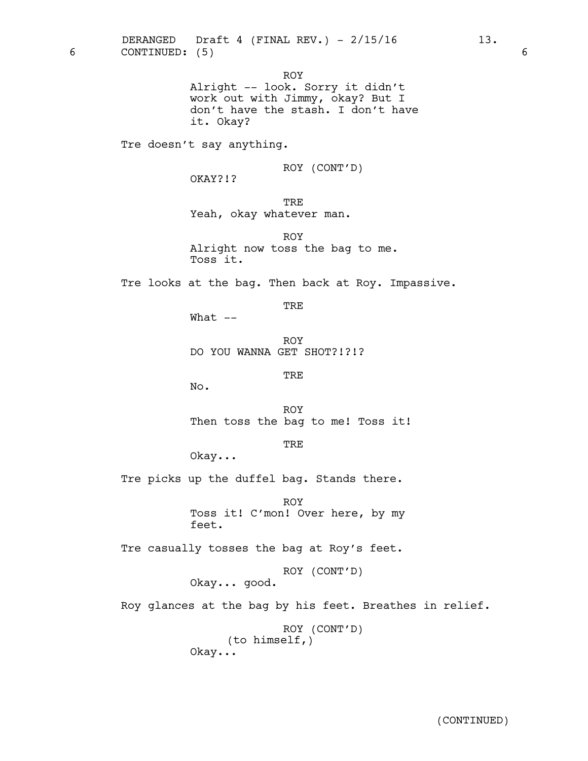Alright -- look. Sorry it didn't work out with Jimmy, okay? But I don't have the stash. I don't have it. Okay?

Tre doesn't say anything.

ROY (CONT'D)

OKAY?!?

TRE Yeah, okay whatever man.

ROY Alright now toss the bag to me. Toss it.

Tre looks at the bag. Then back at Roy. Impassive.

TRE

What  $--$ 

ROY DO YOU WANNA GET SHOT?!?!?

TRE

No.

ROY Then toss the bag to me! Toss it!

TRE

Okay...

Okay...

Tre picks up the duffel bag. Stands there.

ROY Toss it! C'mon! Over here, by my feet.

Tre casually tosses the bag at Roy's feet.

ROY (CONT'D) Okay... good.

Roy glances at the bag by his feet. Breathes in relief.

ROY (CONT'D) (to himself,)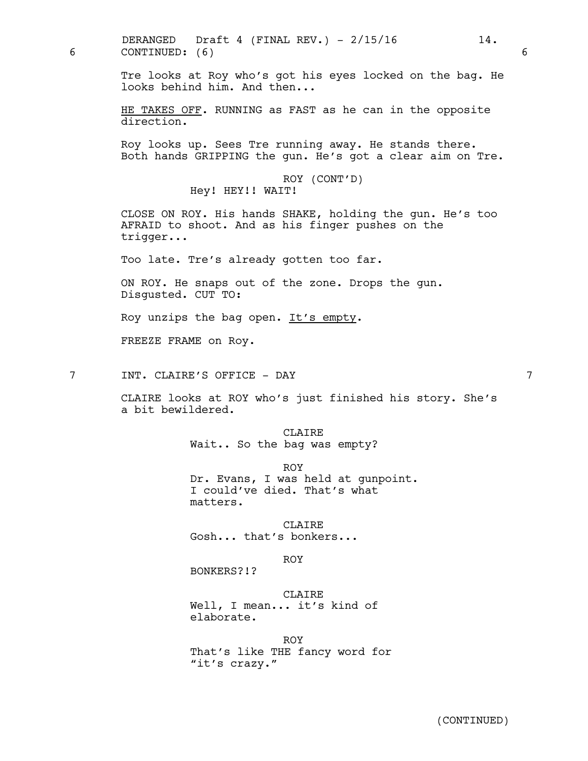DERANGED Draft 4 (FINAL REV.) - 2/15/16 14.

elaborate.

(CONTINUED)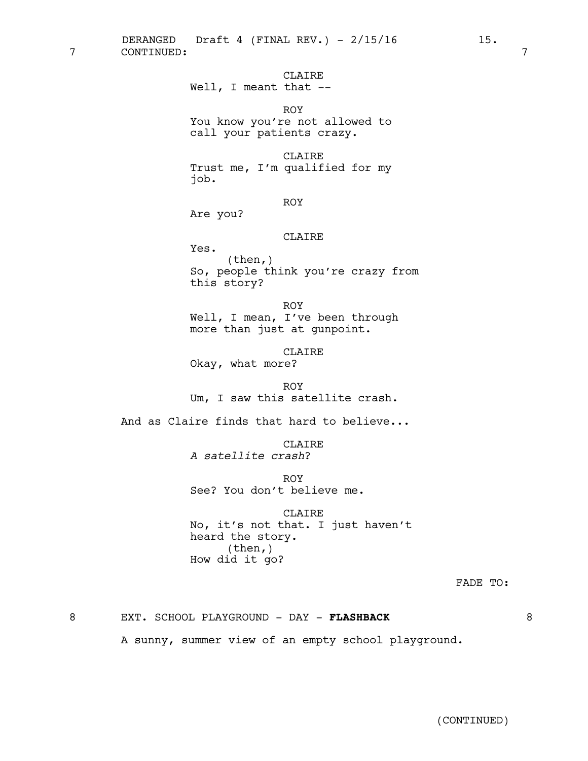# CLAIRE

# Well, I meant that --

ROY

You know you're not allowed to call your patients crazy.

CLAIRE Trust me, I'm qualified for my job.

ROY

Are you?

# CLAIRE

Yes. (then,) So, people think you're crazy from this story?

ROY Well, I mean, I've been through more than just at gunpoint.

CLAIRE Okay, what more?

ROY Um, I saw this satellite crash.

And as Claire finds that hard to believe...

CLAIRE *A satellite crash*?

ROY See? You don't believe me.

CLAIRE

No, it's not that. I just haven't heard the story. (then,) How did it go?

FADE TO:

8 EXT. SCHOOL PLAYGROUND - DAY - **FLASHBACK** 8

A sunny, summer view of an empty school playground.

(CONTINUED)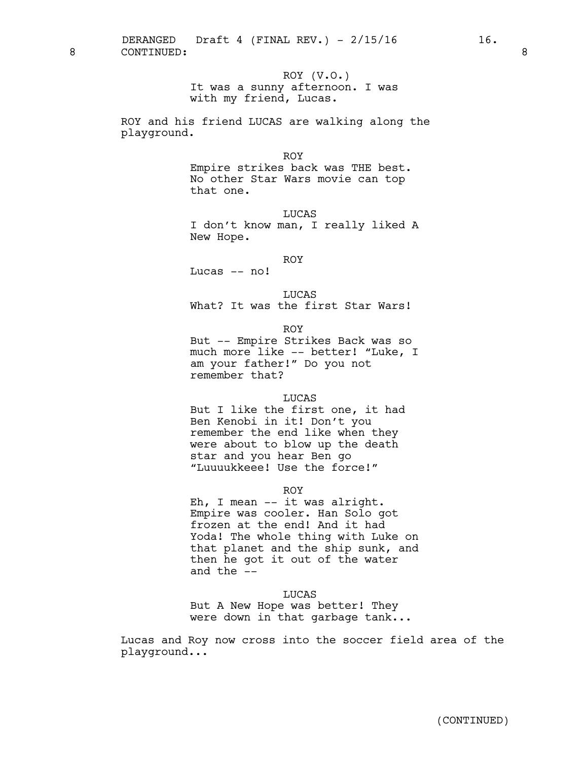ROY (V.O.) It was a sunny afternoon. I was with my friend, Lucas.

ROY and his friend LUCAS are walking along the playground.

ROY

Empire strikes back was THE best. No other Star Wars movie can top that one.

**LUCAS** I don't know man, I really liked A New Hope.

### ROY

Lucas  $--$  no!

LUCAS

What? It was the first Star Wars!

ROY

But -- Empire Strikes Back was so much more like -- better! "Luke, I am your father!" Do you not remember that?

#### LUCAS

But I like the first one, it had Ben Kenobi in it! Don't you remember the end like when they were about to blow up the death star and you hear Ben go "Luuuukkeee! Use the force!"

ROY

Eh, I mean -- it was alright. Empire was cooler. Han Solo got frozen at the end! And it had Yoda! The whole thing with Luke on that planet and the ship sunk, and then he got it out of the water and the --

**LUCAS** But A New Hope was better! They were down in that garbage tank...

Lucas and Roy now cross into the soccer field area of the playground...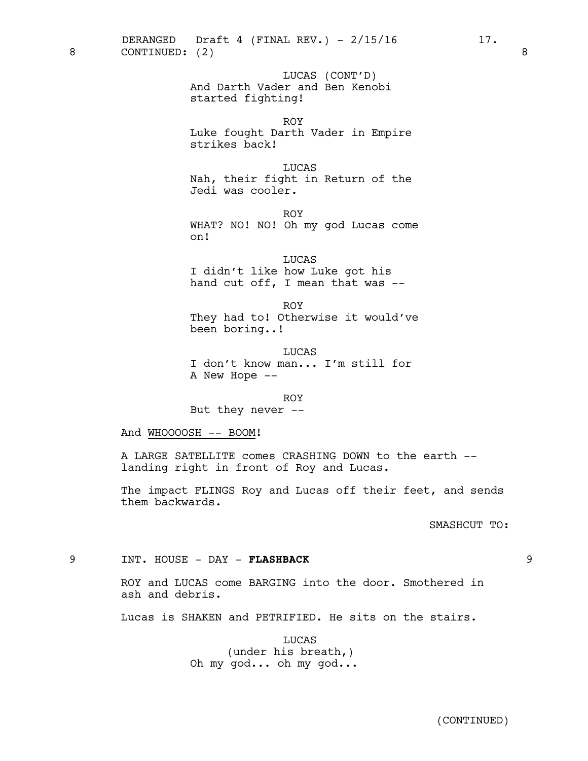8 CONTINUED: (2) 8 DERANGED Draft 4 (FINAL REV.) - 2/15/16 17.

> LUCAS (CONT'D) And Darth Vader and Ben Kenobi started fighting!

ROY Luke fought Darth Vader in Empire strikes back!

LUCAS

Nah, their fight in Return of the Jedi was cooler.

ROY WHAT? NO! NO! Oh my god Lucas come on!

LUCAS I didn't like how Luke got his hand cut off, I mean that was --

ROY They had to! Otherwise it would've been boring..!

LUCAS I don't know man... I'm still for A New Hope --

ROY

But they never --

And WHOOOOSH -- BOOM!

A LARGE SATELLITE comes CRASHING DOWN to the earth - landing right in front of Roy and Lucas.

The impact FLINGS Roy and Lucas off their feet, and sends them backwards.

SMASHCUT TO:

# 9 INT. HOUSE - DAY - **FLASHBACK** 9

ROY and LUCAS come BARGING into the door. Smothered in ash and debris.

Lucas is SHAKEN and PETRIFIED. He sits on the stairs.

LUCAS (under his breath,) Oh my god... oh my god...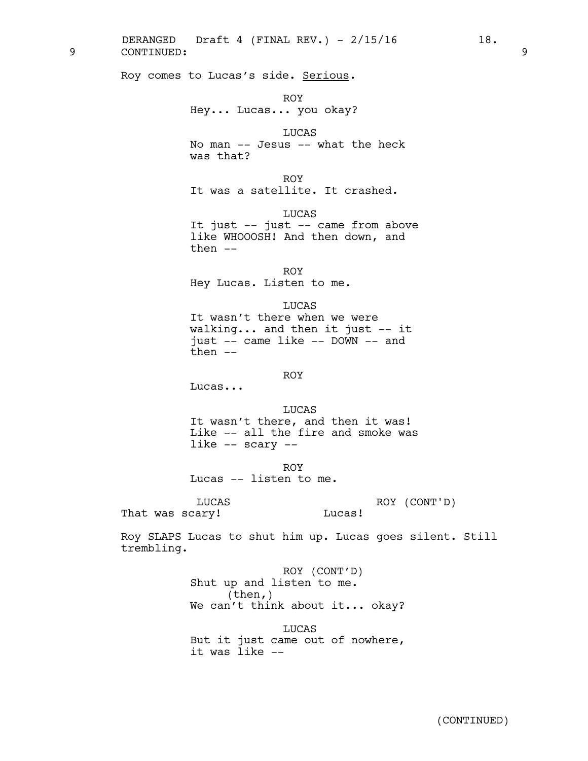9 CONTINUED: 9 DERANGED Draft 4 (FINAL REV.) - 2/15/16 18.

Roy comes to Lucas's side. Serious.

ROY

Hey... Lucas... you okay?

### LUCAS

No man -- Jesus -- what the heck was that?

ROY

It was a satellite. It crashed.

**LUCAS** It just -- just -- came from above like WHOOOSH! And then down, and then --

ROY Hey Lucas. Listen to me.

# LUCAS

It wasn't there when we were walking... and then it just -- it just -- came like -- DOWN -- and  $\bar{\text{then}}$  --

# ROY

Lucas...

LUCAS It wasn't there, and then it was! Like -- all the fire and smoke was like -- scary --

ROY Lucas -- listen to me.

LUCAS That was scary!

ROY (CONT'D)

Lucas!

Roy SLAPS Lucas to shut him up. Lucas goes silent. Still trembling.

ROY (CONT'D)

Shut up and listen to me.  $(then, )$ We can't think about it... okay?

LUCAS But it just came out of nowhere, it was like --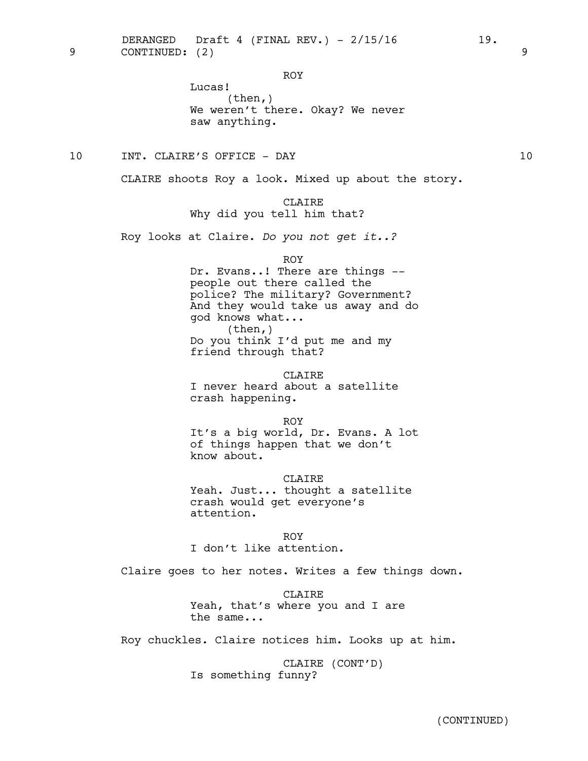Lucas! (then,) We weren't there. Okay? We never saw anything.

10 INT. CLAIRE'S OFFICE - DAY 10

CLAIRE shoots Roy a look. Mixed up about the story.

CLAIRE Why did you tell him that?

Roy looks at Claire. *Do you not get it..?*

ROY

Dr. Evans..! There are things - people out there called the police? The military? Government? And they would take us away and do god knows what...  $(then, )$ Do you think I'd put me and my friend through that?

CLAIRE I never heard about a satellite crash happening.

ROY It's a big world, Dr. Evans. A lot of things happen that we don't know about.

CLAIRE Yeah. Just... thought a satellite crash would get everyone's attention.

ROY I don't like attention.

Claire goes to her notes. Writes a few things down.

CLAIRE Yeah, that's where you and I are the same...

Roy chuckles. Claire notices him. Looks up at him.

CLAIRE (CONT'D) Is something funny?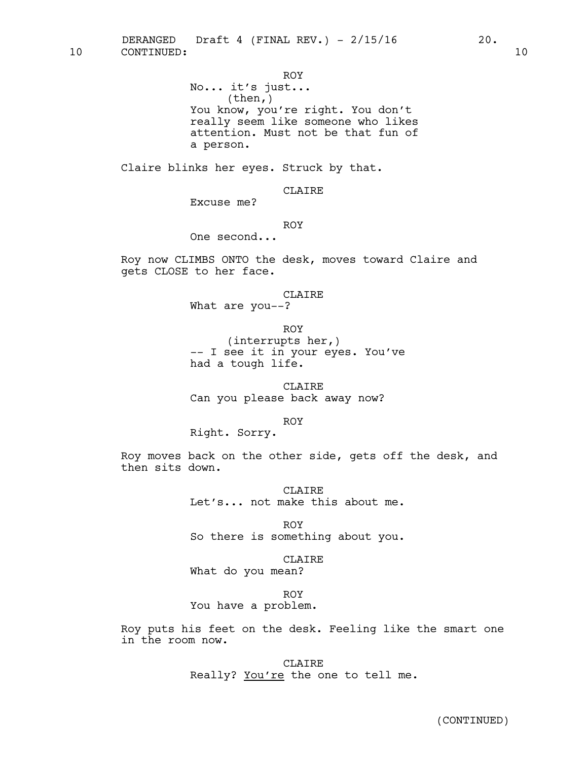No... it's just... (then,) You know, you're right. You don't really seem like someone who likes attention. Must not be that fun of a person.

Claire blinks her eyes. Struck by that.

CLAIRE

Excuse me?

ROY

One second...

Roy now CLIMBS ONTO the desk, moves toward Claire and gets CLOSE to her face.

CLAIRE

What are you--?

ROY

(interrupts her,) -- I see it in your eyes. You've had a tough life.

CLAIRE Can you please back away now?

ROY

Right. Sorry.

Roy moves back on the other side, gets off the desk, and then sits down.

> **CLAIRE** Let's... not make this about me.

> ROY So there is something about you.

### CLAIRE

What do you mean?

ROY

You have a problem.

Roy puts his feet on the desk. Feeling like the smart one in the room now.

> CLAIRE Really? You're the one to tell me.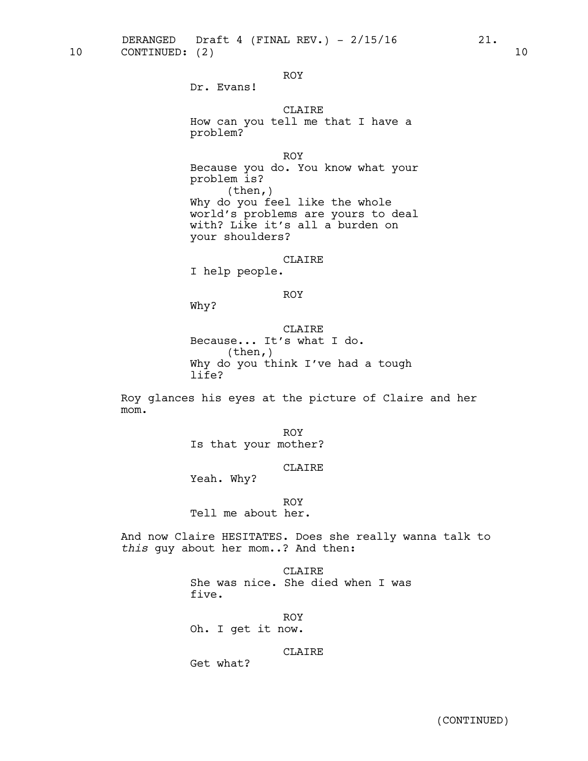Dr. Evans!

# CLAIRE

How can you tell me that I have a problem?

ROY

Because you do. You know what your problem is? (then,) Why do you feel like the whole world's problems are yours to deal with? Like it's all a burden on your shoulders?

#### CLAIRE

I help people.

#### ROY

Why?

CLAIRE Because... It's what I do. (then,) Why do you think I've had a tough life?

Roy glances his eyes at the picture of Claire and her mom.

> ROY Is that your mother?

# **CLAIRE**

Yeah. Why?

#### ROY

Tell me about her.

And now Claire HESITATES. Does she really wanna talk to *this* guy about her mom..? And then:

> CLAIRE She was nice. She died when I was five.

> > ROY

Oh. I get it now.

# CLAIRE

Get what?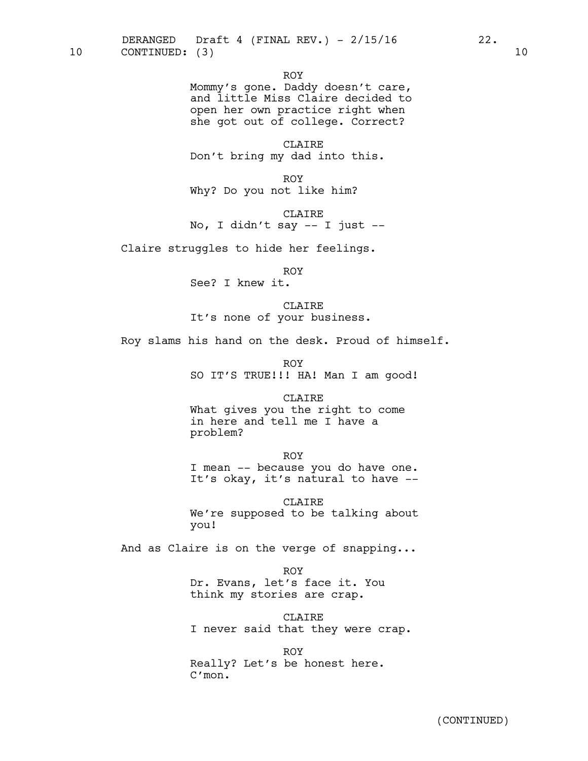Mommy's gone. Daddy doesn't care, and little Miss Claire decided to open her own practice right when she got out of college. Correct?

CLAIRE Don't bring my dad into this.

ROY Why? Do you not like him?

CLAIRE No, I didn't say -- I just --

Claire struggles to hide her feelings.

ROY

See? I knew it.

CLAIRE It's none of your business.

Roy slams his hand on the desk. Proud of himself.

ROY SO IT'S TRUE!!! HA! Man I am good!

# CLAIRE

What gives you the right to come in here and tell me I have a problem?

ROY

I mean -- because you do have one. It's okay, it's natural to have --

CLAIRE We're supposed to be talking about you!

And as Claire is on the verge of snapping...

ROY Dr. Evans, let's face it. You think my stories are crap.

CLAIRE I never said that they were crap.

ROY Really? Let's be honest here. C'mon.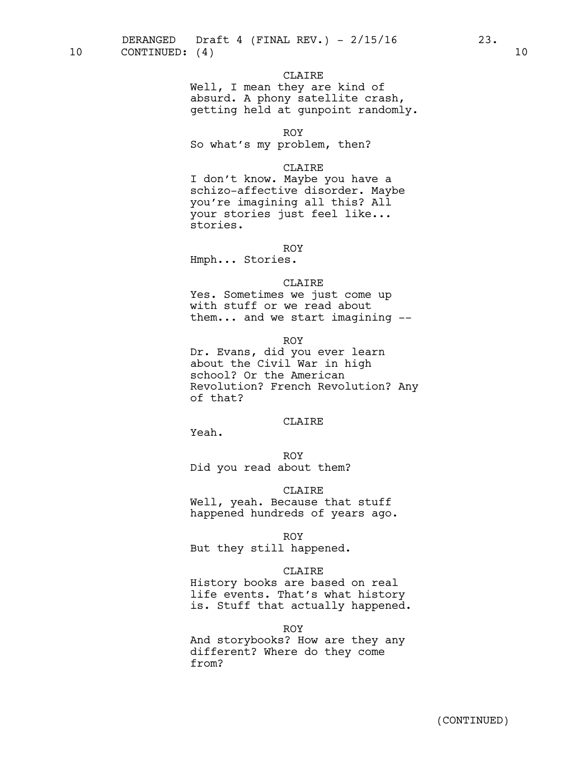### CLAIRE

Well, I mean they are kind of absurd. A phony satellite crash, getting held at gunpoint randomly.

### ROY

So what's my problem, then?

#### CLAIRE

I don't know. Maybe you have a schizo-affective disorder. Maybe you're imagining all this? All your stories just feel like... stories.

ROY

Hmph... Stories.

#### CLAIRE

Yes. Sometimes we just come up with stuff or we read about them... and we start imagining --

ROY

Dr. Evans, did you ever learn about the Civil War in high school? Or the American Revolution? French Revolution? Any of that?

#### CLAIRE

Yeah.

ROY

Did you read about them?

### CLAIRE

Well, yeah. Because that stuff happened hundreds of years ago.

ROY

But they still happened.

### CLAIRE

History books are based on real life events. That's what history is. Stuff that actually happened.

ROY

And storybooks? How are they any different? Where do they come from?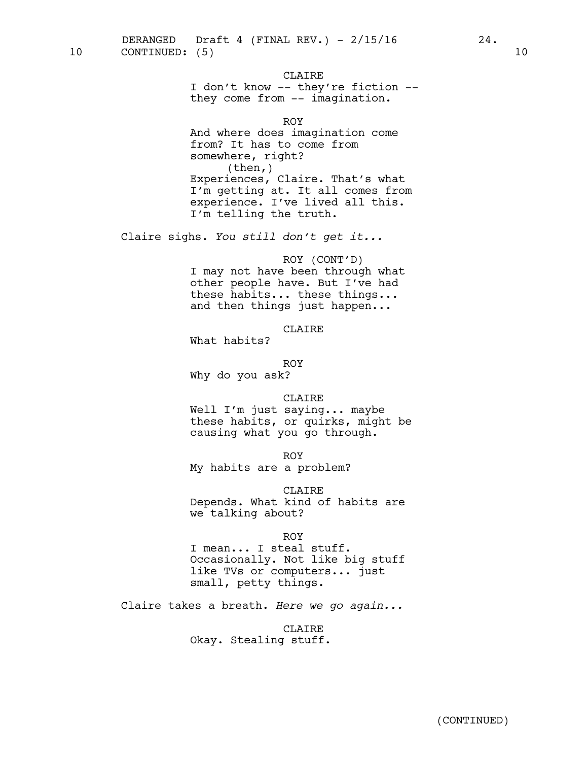# CLAIRE

I don't know -- they're fiction - they come from -- imagination.

ROY

And where does imagination come from? It has to come from somewhere, right? (then,) Experiences, Claire. That's what I'm getting at. It all comes from experience. I've lived all this. I'm telling the truth.

Claire sighs. *You still don't get it...* 

ROY (CONT'D) I may not have been through what other people have. But I've had these habits... these things... and then things just happen...

CLAIRE

What habits?

ROY

Why do you ask?

# CLAIRE

Well I'm just saying... maybe these habits, or quirks, might be causing what you go through.

ROY

My habits are a problem?

CLAIRE Depends. What kind of habits are we talking about?

ROY

I mean... I steal stuff. Occasionally. Not like big stuff like TVs or computers... just small, petty things.

Claire takes a breath. *Here we go again...*

CLAIRE Okay. Stealing stuff.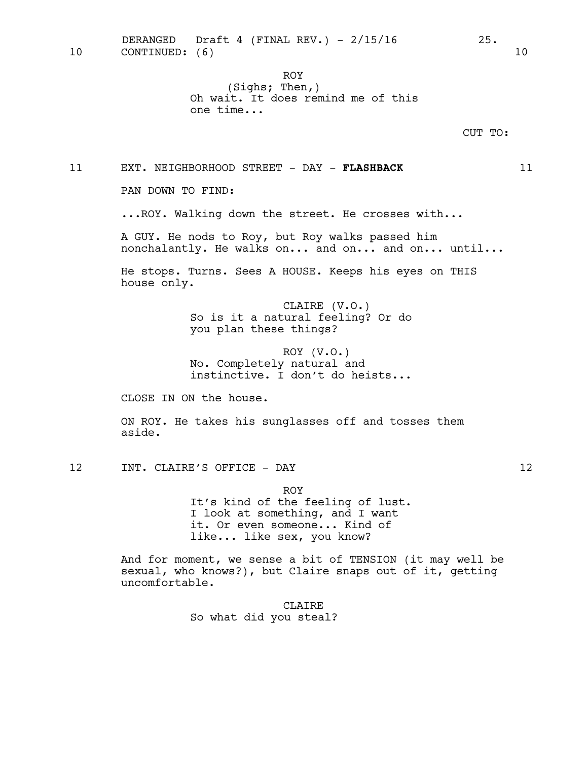(Sighs; Then,) Oh wait. It does remind me of this one time...

CUT TO:

11 EXT. NEIGHBORHOOD STREET - DAY - **FLASHBACK** 11

PAN DOWN TO FIND:

...ROY. Walking down the street. He crosses with...

A GUY. He nods to Roy, but Roy walks passed him nonchalantly. He walks on... and on... and on... until...

He stops. Turns. Sees A HOUSE. Keeps his eyes on THIS house only.

> CLAIRE (V.O.) So is it a natural feeling? Or do you plan these things?

> ROY (V.O.) No. Completely natural and instinctive. I don't do heists...

CLOSE IN ON the house.

ON ROY. He takes his sunglasses off and tosses them aside.

12 INT. CLAIRE'S OFFICE - DAY 12

ROY

It's kind of the feeling of lust. I look at something, and I want it. Or even someone... Kind of like... like sex, you know?

And for moment, we sense a bit of TENSION (it may well be sexual, who knows?), but Claire snaps out of it, getting uncomfortable.

> CLAIRE So what did you steal?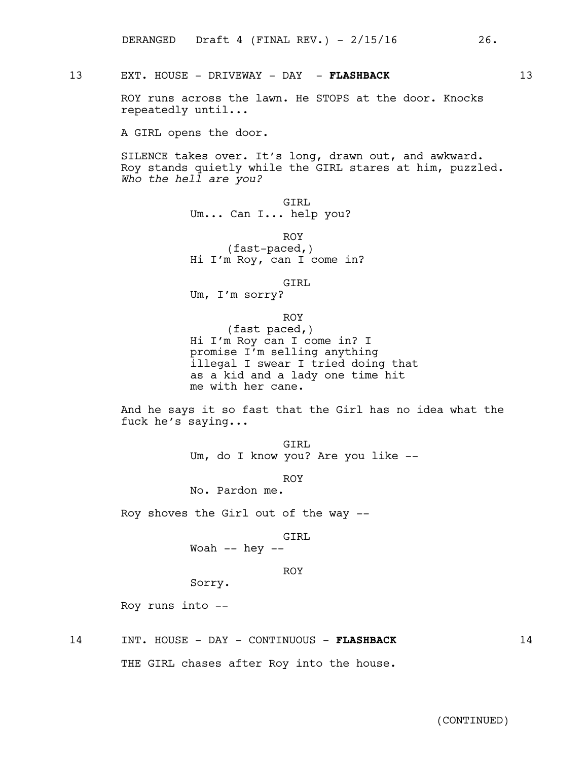ROY runs across the lawn. He STOPS at the door. Knocks repeatedly until...

A GIRL opens the door.

SILENCE takes over. It's long, drawn out, and awkward. Roy stands quietly while the GIRL stares at him, puzzled. *Who the hell are you?*

> GIRL Um... Can I... help you?

ROY (fast-paced,) Hi I'm Roy, can I come in?

GIRL

Um, I'm sorry?

ROY

(fast paced,) Hi I'm Roy can I come in? I promise I'm selling anything illegal I swear I tried doing that as a kid and a lady one time hit me with her cane.

And he says it so fast that the Girl has no idea what the fuck he's saying...

> GIRL Um, do I know you? Are you like --

> > ROY

No. Pardon me.

Roy shoves the Girl out of the way --

GIRL

Woah  $--$  hey  $--$ 

ROY

Sorry.

Roy runs into --

14 INT. HOUSE - DAY - CONTINUOUS - **FLASHBACK** 14

THE GIRL chases after Roy into the house.

(CONTINUED)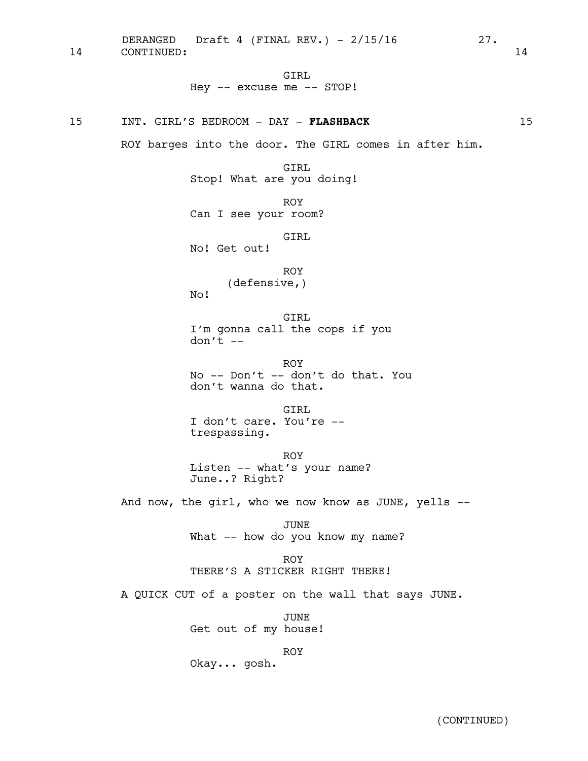# GIRL Hey -- excuse me -- STOP!

# 15 INT. GIRL'S BEDROOM - DAY - **FLASHBACK** 15

ROY barges into the door. The GIRL comes in after him.

GIRL Stop! What are you doing!

ROY Can I see your room?

GIRL

No! Get out!

ROY (defensive,)

No!

GIRL I'm gonna call the cops if you  $don't --$ 

ROY  $No$  --  $Don't$  -- don't do that. You don't wanna do that.

GTRT. I don't care. You're - trespassing.

ROY Listen -- what's your name? June..? Right?

And now, the girl, who we now know as JUNE, yells --

JUNE What -- how do you know my name?

ROY THERE'S A STICKER RIGHT THERE!

A QUICK CUT of a poster on the wall that says JUNE.

JUNE Get out of my house!

ROY

Okay... gosh.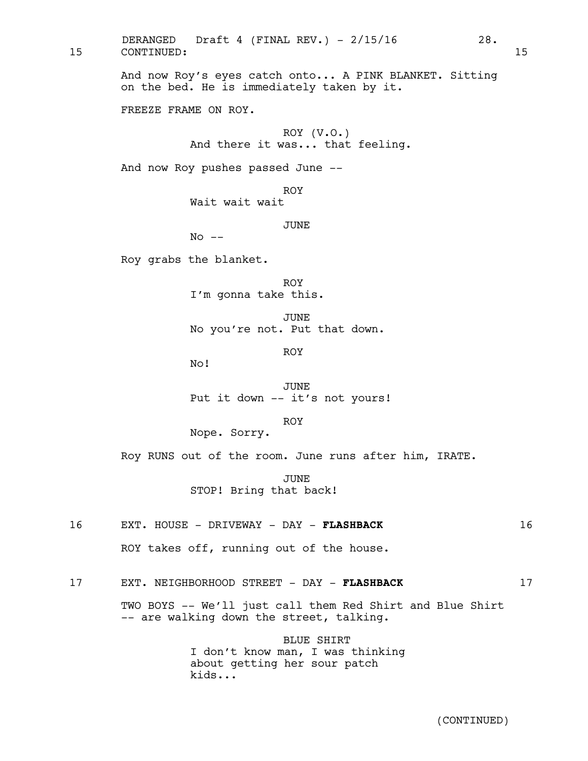And now Roy's eyes catch onto... A PINK BLANKET. Sitting on the bed. He is immediately taken by it. FREEZE FRAME ON ROY. ROY (V.O.) And there it was... that feeling. And now Roy pushes passed June -- ROY Wait wait wait JUNE  $No$   $--$ Roy grabs the blanket. ROY I'm gonna take this. JUNE No you're not. Put that down. ROY No! JUNE Put it down -- it's not yours! ROY Nope. Sorry. Roy RUNS out of the room. June runs after him, IRATE. JUNE STOP! Bring that back! 16 EXT. HOUSE - DRIVEWAY - DAY - **FLASHBACK** 16 ROY takes off, running out of the house. 17 EXT. NEIGHBORHOOD STREET - DAY - **FLASHBACK** 17 TWO BOYS -- We'll just call them Red Shirt and Blue Shirt -- are walking down the street, talking. BLUE SHIRT I don't know man, I was thinking about getting her sour patch kids... 15 CONTINUED: 15 (CONTINUED) DERANGED Draft 4 (FINAL REV.) - 2/15/16 28.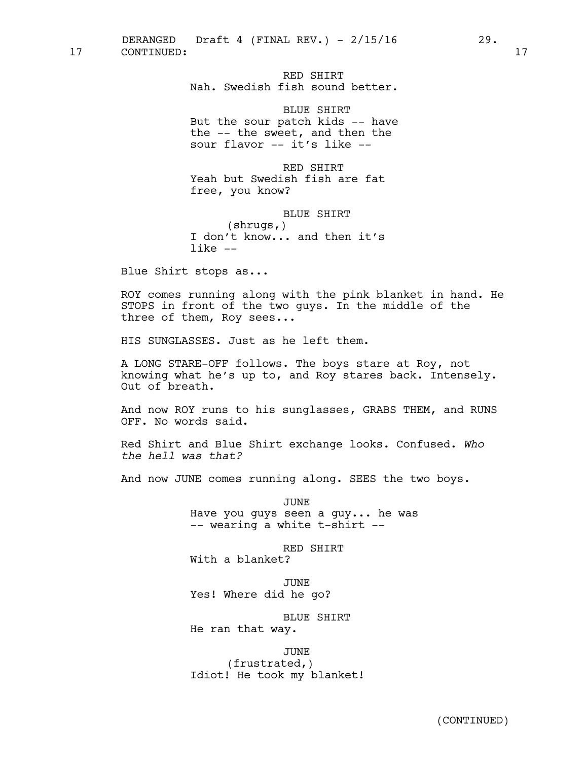BLUE SHIRT But the sour patch kids -- have the -- the sweet, and then the sour flavor -- it's like --

RED SHIRT Yeah but Swedish fish are fat free, you know?

BLUE SHIRT (shrugs,) I don't know... and then it's like --

Blue Shirt stops as...

ROY comes running along with the pink blanket in hand. He STOPS in front of the two guys. In the middle of the three of them, Roy sees...

HIS SUNGLASSES. Just as he left them.

A LONG STARE-OFF follows. The boys stare at Roy, not knowing what he's up to, and Roy stares back. Intensely. Out of breath.

And now ROY runs to his sunglasses, GRABS THEM, and RUNS OFF. No words said.

Red Shirt and Blue Shirt exchange looks. Confused. *Who the hell was that?*

And now JUNE comes running along. SEES the two boys.

JUNE Have you guys seen a guy... he was -- wearing a white t-shirt --

RED SHIRT With a blanket?

JUNE Yes! Where did he go?

BLUE SHIRT He ran that way.

JUNE (frustrated,) Idiot! He took my blanket!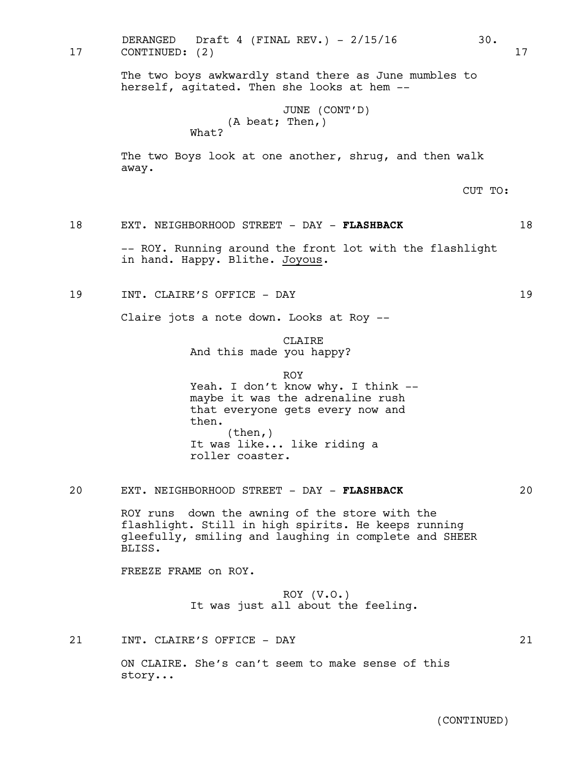17 CONTINUED: (2) 17 DERANGED Draft 4 (FINAL REV.) - 2/15/16 30.

> The two boys awkwardly stand there as June mumbles to herself, agitated. Then she looks at hem --

JUNE (CONT'D) (A beat; Then,) What?

The two Boys look at one another, shrug, and then walk away.

CUT TO:

18 EXT. NEIGHBORHOOD STREET - DAY - **FLASHBACK** 18

-- ROY. Running around the front lot with the flashlight in hand. Happy. Blithe. Joyous.

19 INT. CLAIRE'S OFFICE - DAY 19

Claire jots a note down. Looks at Roy --

CLAIRE And this made you happy?

ROY

Yeah. I don't know why. I think -maybe it was the adrenaline rush that everyone gets every now and then. (then,) It was like... like riding a roller coaster.

20 EXT. NEIGHBORHOOD STREET - DAY - **FLASHBACK** 20

ROY runs down the awning of the store with the flashlight. Still in high spirits. He keeps running gleefully, smiling and laughing in complete and SHEER BLISS.

FREEZE FRAME on ROY.

ROY (V.O.) It was just all about the feeling.

21 INT. CLAIRE'S OFFICE - DAY 21

ON CLAIRE. She's can't seem to make sense of this story...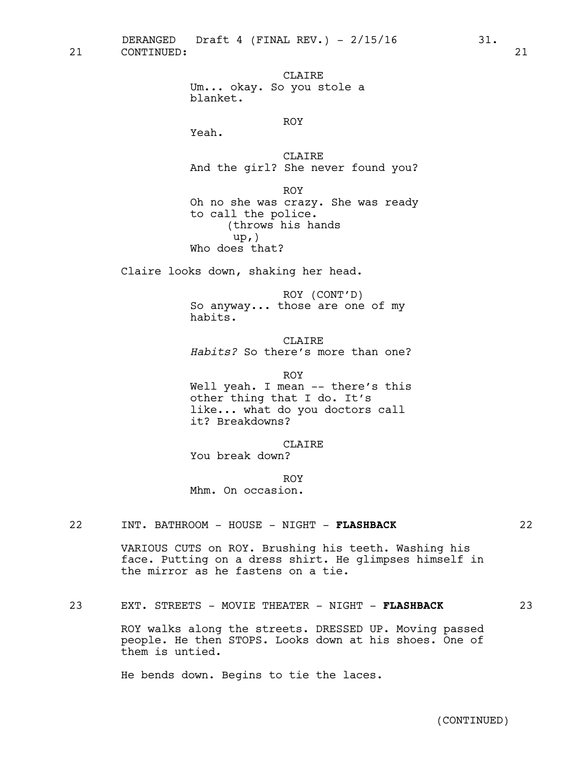CLAIRE

Um... okay. So you stole a blanket.

ROY

Yeah.

CLAIRE And the girl? She never found you?

ROY Oh no she was crazy. She was ready to call the police. (throws his hands up,) Who does that?

Claire looks down, shaking her head.

ROY (CONT'D) So anyway... those are one of my habits.

**CLAIRE** *Habits?* So there's more than one?

ROY Well yeah. I mean -- there's this other thing that I do. It's like... what do you doctors call it? Breakdowns?

CLAIRE You break down?

ROY Mhm. On occasion.

22 INT. BATHROOM - HOUSE - NIGHT - **FLASHBACK** 22

VARIOUS CUTS on ROY. Brushing his teeth. Washing his face. Putting on a dress shirt. He glimpses himself in the mirror as he fastens on a tie.

23 EXT. STREETS - MOVIE THEATER - NIGHT - **FLASHBACK** 23

ROY walks along the streets. DRESSED UP. Moving passed people. He then STOPS. Looks down at his shoes. One of them is untied.

He bends down. Begins to tie the laces.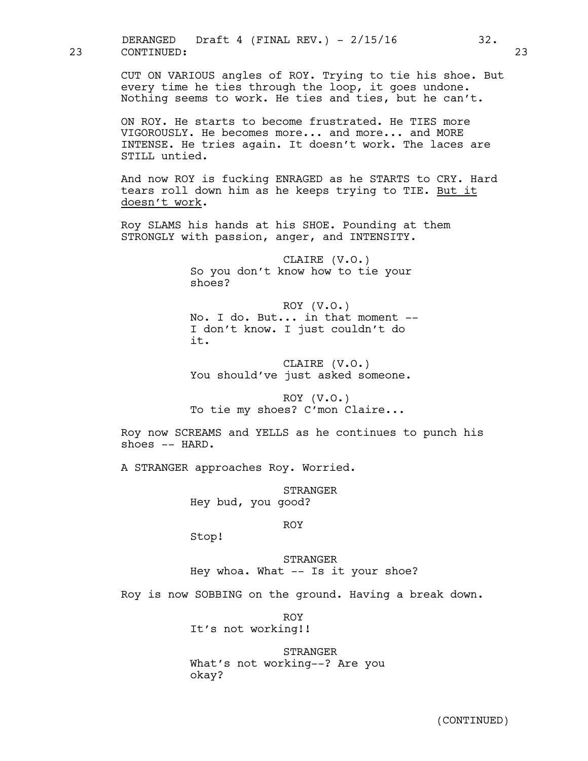CUT ON VARIOUS angles of ROY. Trying to tie his shoe. But every time he ties through the loop, it goes undone. Nothing seems to work. He ties and ties, but he can't.

ON ROY. He starts to become frustrated. He TIES more VIGOROUSLY. He becomes more... and more... and MORE INTENSE. He tries again. It doesn't work. The laces are STILL untied.

And now ROY is fucking ENRAGED as he STARTS to CRY. Hard tears roll down him as he keeps trying to TIE. But it doesn't work.

Roy SLAMS his hands at his SHOE. Pounding at them STRONGLY with passion, anger, and INTENSITY.

> CLAIRE (V.O.) So you don't know how to tie your shoes?

ROY (V.O.) No. I do. But... in that moment -- I don't know. I just couldn't do it.

CLAIRE (V.O.) You should've just asked someone.

ROY (V.O.) To tie my shoes? C'mon Claire...

Roy now SCREAMS and YELLS as he continues to punch his shoes -- HARD.

A STRANGER approaches Roy. Worried.

STRANGER Hey bud, you good?

ROY

Stop!

STRANGER Hey whoa. What -- Is it your shoe?

Roy is now SOBBING on the ground. Having a break down.

ROY It's not working!!

STRANGER What's not working--? Are you okay?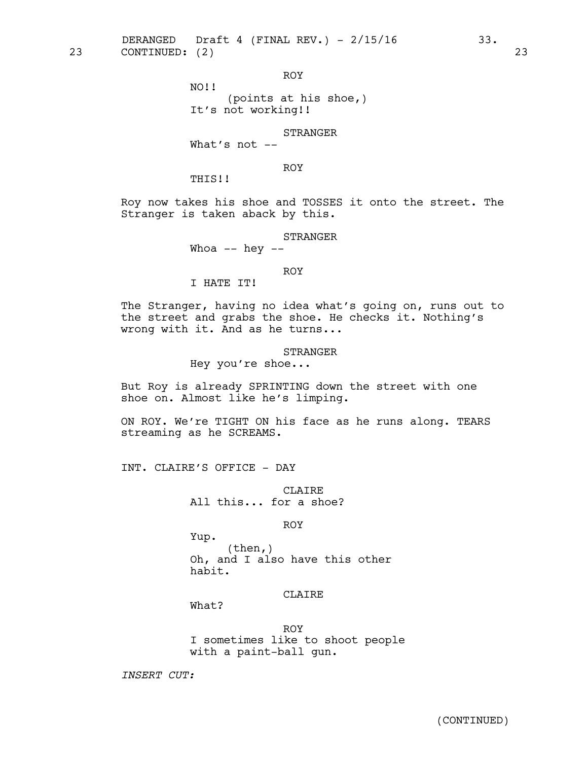```
ROY
```
NO!! (points at his shoe,) It's not working!!

# STRANGER

What's not  $--$ 

# ROY

THIS!!

Roy now takes his shoe and TOSSES it onto the street. The Stranger is taken aback by this.

### STRANGER

Whoa  $--$  hey  $--$ 

#### ROY

I HATE IT!

The Stranger, having no idea what's going on, runs out to the street and grabs the shoe. He checks it. Nothing's wrong with it. And as he turns...

# STRANGER

Hey you're shoe...

But Roy is already SPRINTING down the street with one shoe on. Almost like he's limping.

ON ROY. We're TIGHT ON his face as he runs along. TEARS streaming as he SCREAMS.

INT. CLAIRE'S OFFICE - DAY

**CLAIRE** All this... for a shoe?

ROY

Yup. (then,) Oh, and I also have this other habit.

# CLAIRE

What?

ROY I sometimes like to shoot people with a paint-ball gun.

*INSERT CUT:*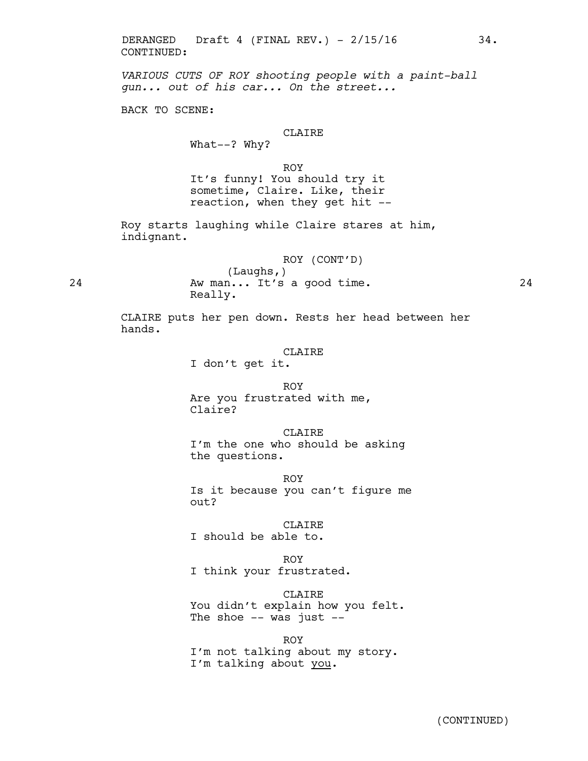*VARIOUS CUTS OF ROY shooting people with a paint-ball gun... out of his car... On the street...*

BACK TO SCENE:

# CLAIRE

What--? Why?

ROY

It's funny! You should try it sometime, Claire. Like, their reaction, when they get hit --

Roy starts laughing while Claire stares at him, indignant.

ROY (CONT'D) (Laughs,) 24 Aw man... It's a good time. 24 Really.

> CLAIRE puts her pen down. Rests her head between her hands.

# CLAIRE

I don't get it.

ROY Are you frustrated with me, Claire?

CLAIRE I'm the one who should be asking the questions.

ROY Is it because you can't figure me out?

### CLAIRE

I should be able to.

ROY

I think your frustrated.

### CLAIRE

You didn't explain how you felt. The shoe  $--$  was just  $--$ 

### ROY

I'm not talking about my story. I'm talking about you.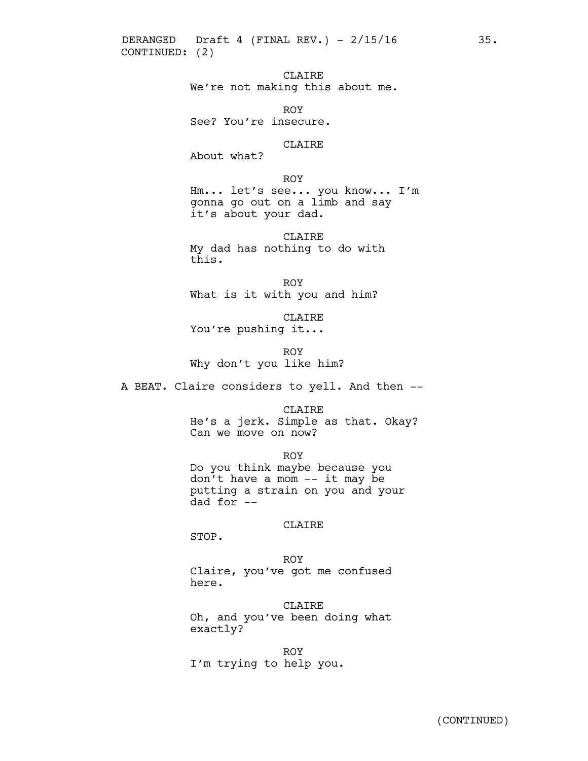CLAIRE We're not making this about me.

ROY See? You're insecure.

### CLAIRE

About what?

```
ROY
```
Hm... let's see... you know... I'm gonna go out on a limb and say it's about your dad.

CLAIRE My dad has nothing to do with this.

ROY What is it with you and him?

CLAIRE You're pushing it...

ROY Why don't you like him?

A BEAT. Claire considers to yell. And then --

CLAIRE He's a jerk. Simple as that. Okay? Can we move on now?

ROY

Do you think maybe because you don't have a mom -- it may be putting a strain on you and your dad for --

### CLAIRE

STOP.

ROY Claire, you've got me confused here.

CLAIRE Oh, and you've been doing what exactly?

ROY I'm trying to help you.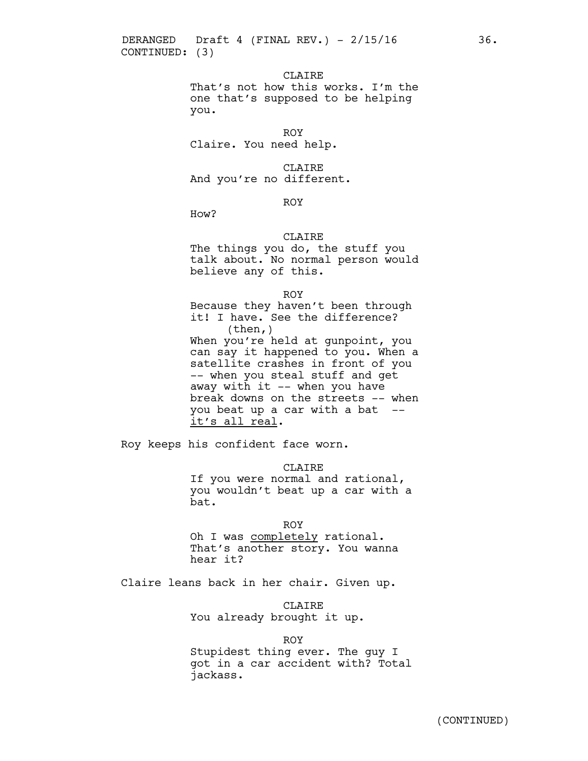## CLAIRE

That's not how this works. I'm the one that's supposed to be helping you.

## ROY

Claire. You need help.

#### CLAIRE

And you're no different.

## ROY

How?

## **CLAIRE**

The things you do, the stuff you talk about. No normal person would believe any of this.

#### ROY

Because they haven't been through it! I have. See the difference? (then,) When you're held at qunpoint, you can say it happened to you. When a satellite crashes in front of you -- when you steal stuff and get away with it -- when you have break downs on the streets -- when you beat up a car with a bat - it's all real.

Roy keeps his confident face worn.

CLAIRE

If you were normal and rational, you wouldn't beat up a car with a bat.

#### ROY

Oh I was completely rational. That's another story. You wanna hear it?

Claire leans back in her chair. Given up.

CLAIRE You already brought it up.

#### ROY

Stupidest thing ever. The guy I got in a car accident with? Total jackass.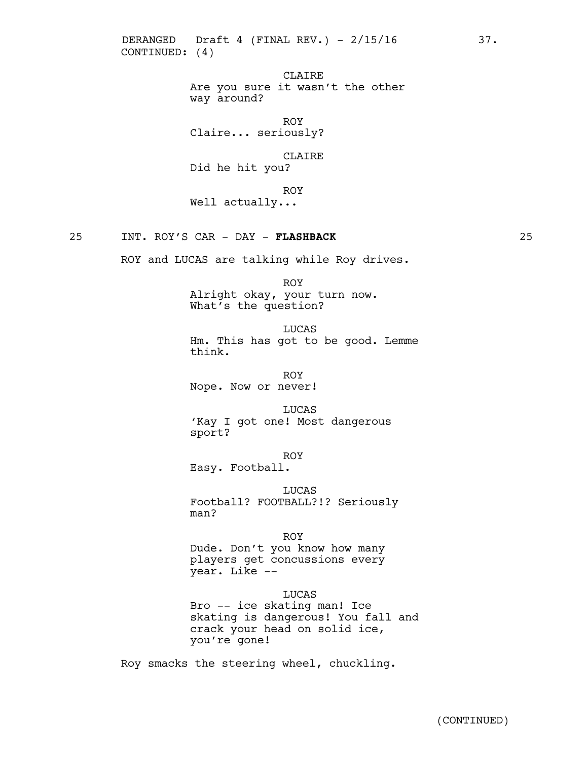CLAIRE Are you sure it wasn't the other way around?

ROY Claire... seriously?

CLAIRE Did he hit you?

ROY Well actually...

25 INT. ROY'S CAR - DAY - **FLASHBACK** 25

ROY and LUCAS are talking while Roy drives.

ROY

Alright okay, your turn now. What's the question?

LUCAS Hm. This has got to be good. Lemme think.

ROY Nope. Now or never!

LUCAS 'Kay I got one! Most dangerous sport?

ROY

Easy. Football.

LUCAS Football? FOOTBALL?!? Seriously man?

ROY

Dude. Don't you know how many players get concussions every year. Like --

**LUCAS** 

Bro -- ice skating man! Ice skating is dangerous! You fall and crack your head on solid ice, you're gone!

Roy smacks the steering wheel, chuckling.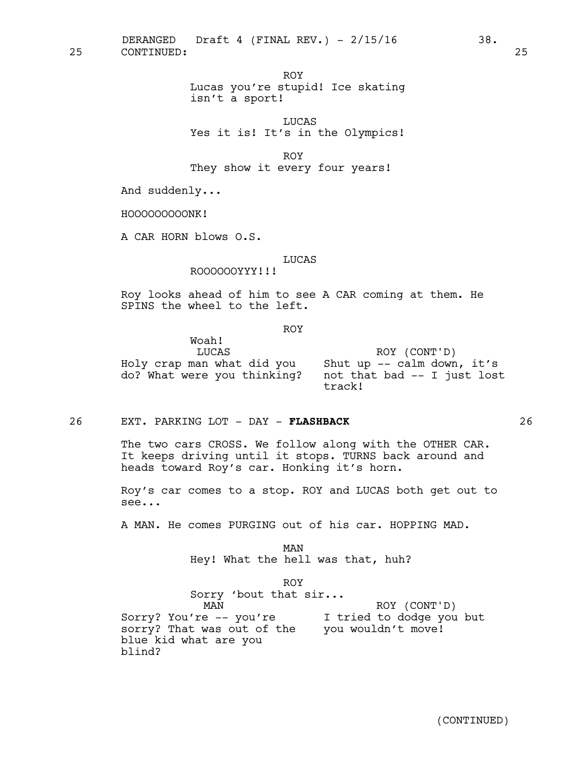Lucas you're stupid! Ice skating isn't a sport!

LUCAS Yes it is! It's in the Olympics!

ROY They show it every four years!

And suddenly...

HOOOOOOOOONK!

A CAR HORN blows O.S.

## LUCAS

## ROOOOOOYYY!!!

Roy looks ahead of him to see A CAR coming at them. He SPINS the wheel to the left.

ROY

| Woah!                                                     |                                                                      |
|-----------------------------------------------------------|----------------------------------------------------------------------|
| LUCAS                                                     | ROY (CONT'D)                                                         |
| Holy crap man what did you<br>do? What were you thinking? | Shut up $-$ calm down, it's<br>not that bad -- I just lost<br>track! |

26 EXT. PARKING LOT - DAY - **FLASHBACK** 26

The two cars CROSS. We follow along with the OTHER CAR. It keeps driving until it stops. TURNS back around and heads toward Roy's car. Honking it's horn.

Roy's car comes to a stop. ROY and LUCAS both get out to see...

A MAN. He comes PURGING out of his car. HOPPING MAD.

MAN Hey! What the hell was that, huh?

ROY

Sorry 'bout that sir... MAN Sorry? You're -- you're sorry? That was out of the blue kid what are you blind? ROY (CONT'D) I tried to dodge you but you wouldn't move!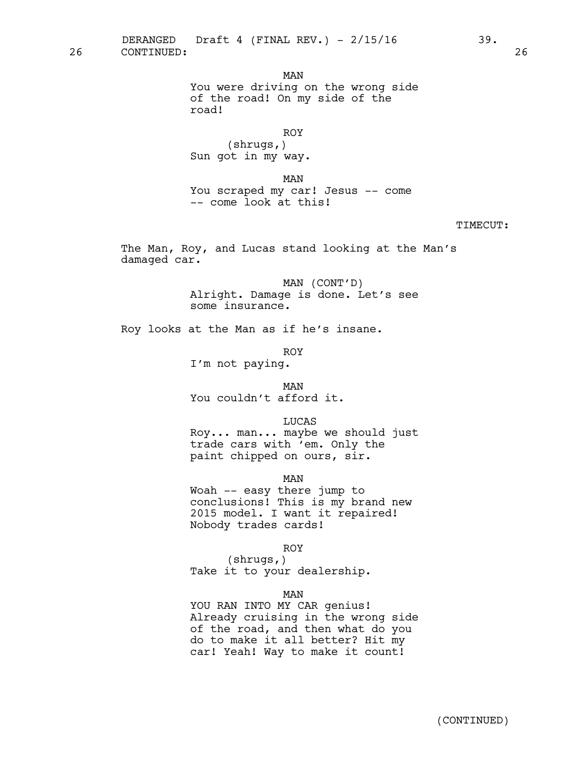MAN

You were driving on the wrong side of the road! On my side of the road!

ROY

(shrugs,) Sun got in my way.

MAN

You scraped my car! Jesus -- come -- come look at this!

#### TIMECUT:

The Man, Roy, and Lucas stand looking at the Man's damaged car.

> MAN (CONT'D) Alright. Damage is done. Let's see some insurance.

Roy looks at the Man as if he's insane.

ROY

I'm not paying.

MAN

You couldn't afford it.

LUCAS

Roy... man... maybe we should just trade cars with 'em. Only the paint chipped on ours, sir.

MAN

Woah -- easy there jump to conclusions! This is my brand new 2015 model. I want it repaired! Nobody trades cards!

ROY

(shrugs,) Take it to your dealership.

MAN

YOU RAN INTO MY CAR genius! Already cruising in the wrong side of the road, and then what do you do to make it all better? Hit my car! Yeah! Way to make it count!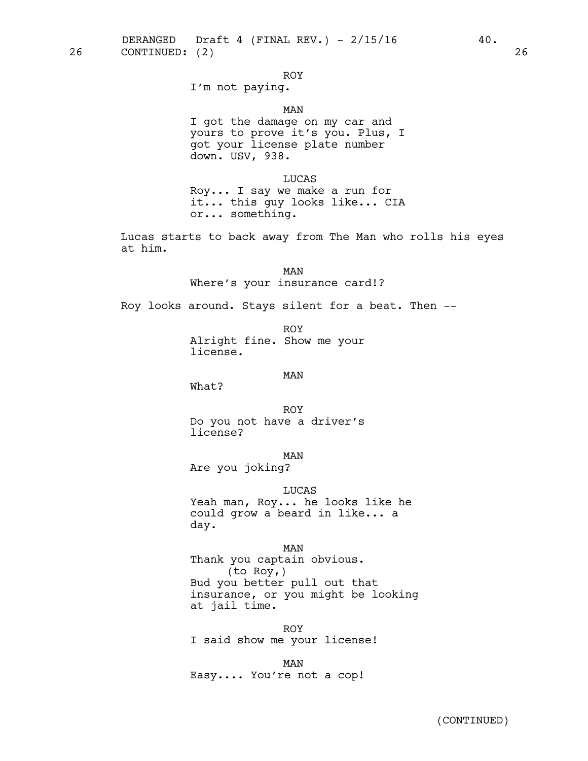I'm not paying.

## MAN

I got the damage on my car and yours to prove it's you. Plus, I got your license plate number down. USV, 938.

#### LUCAS

Roy... I say we make a run for it... this guy looks like... CIA or... something.

Lucas starts to back away from The Man who rolls his eyes at him.

> MAN Where's your insurance card!?

Roy looks around. Stays silent for a beat. Then --

ROY

Alright fine. Show me your license.

#### MAN

What?

ROY Do you not have a driver's license?

MAN

Are you joking?

LUCAS

Yeah man, Roy... he looks like he could grow a beard in like... a day.

MAN

Thank you captain obvious. (to Roy,) Bud you better pull out that insurance, or you might be looking at jail time.

ROY I said show me your license!

MAN Easy.... You're not a cop!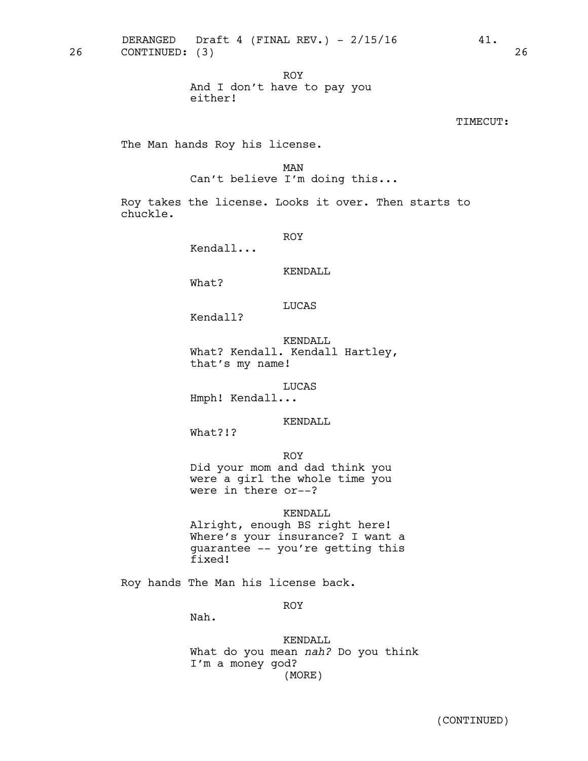|         | 11 V J I |                             |  |  |  |  |  |  |
|---------|----------|-----------------------------|--|--|--|--|--|--|
|         |          | And I don't have to pay you |  |  |  |  |  |  |
| either! |          |                             |  |  |  |  |  |  |

TIMECUT:

The Man hands Roy his license.

MAN

Can't believe I'm doing this...

Roy takes the license. Looks it over. Then starts to chuckle.

ROY

Kendall...

## KENDALL

What?

LUCAS

Kendall?

KENDALL What? Kendall. Kendall Hartley, that's my name!

LUCAS

Hmph! Kendall...

KENDALL

What?!?

ROY

Did your mom and dad think you were a girl the whole time you were in there or--?

KENDALL

Alright, enough BS right here! Where's your insurance? I want a guarantee -- you're getting this fixed!

Roy hands The Man his license back.

ROY

Nah.

KENDALL What do you mean *nah?* Do you think I'm a money god? (MORE)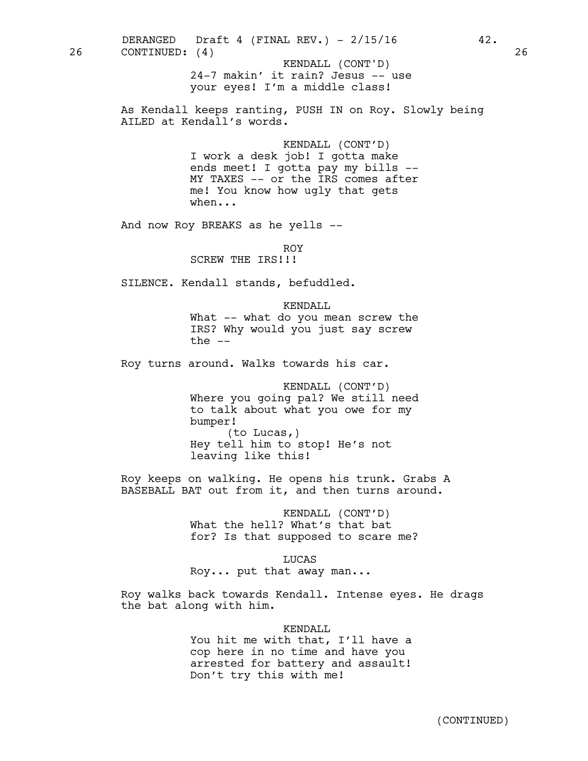24-7 makin' it rain? Jesus -- use your eyes! I'm a middle class! As Kendall keeps ranting, PUSH IN on Roy. Slowly being AILED at Kendall's words. KENDALL (CONT'D) I work a desk job! I gotta make ends meet! I gotta pay my bills -- MY TAXES -- or the IRS comes after me! You know how ugly that gets when... And now Roy BREAKS as he yells -- ROY SCREW THE IRS!!! SILENCE. Kendall stands, befuddled. KENDALL What -- what do you mean screw the IRS? Why would you just say screw the  $--$ Roy turns around. Walks towards his car. KENDALL (CONT'D) Where you going pal? We still need to talk about what you owe for my bumper! (to Lucas,) Hey tell him to stop! He's not leaving like this! Roy keeps on walking. He opens his trunk. Grabs A BASEBALL BAT out from it, and then turns around. KENDALL (CONT'D) What the hell? What's that bat for? Is that supposed to scare me? LUCAS Roy... put that away man... Roy walks back towards Kendall. Intense eyes. He drags the bat along with him. KENDALL You hit me with that, I'll have a cop here in no time and have you arrested for battery and assault! Don't try this with me! 26 CONTINUED: (4) 26 KENDALL (CONT'D) DERANGED Draft 4 (FINAL REV.) - 2/15/16 42.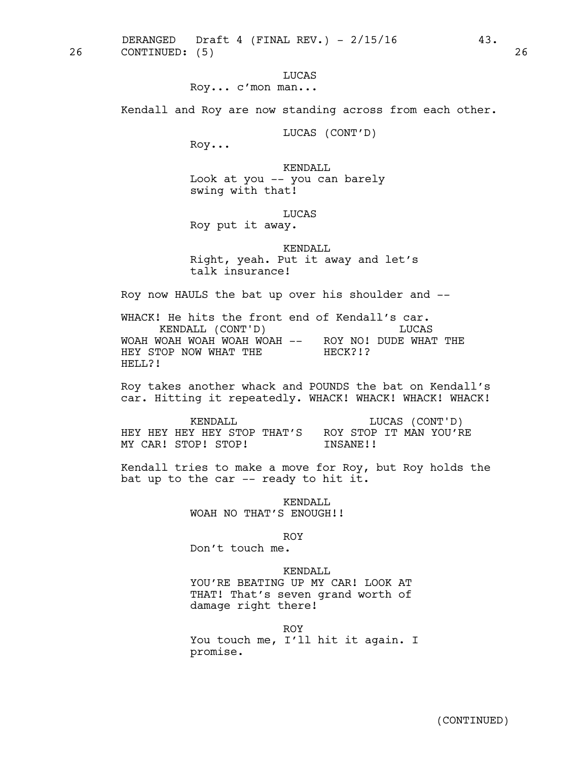#### LUCAS

#### Roy... c'mon man...

Kendall and Roy are now standing across from each other.

LUCAS (CONT'D)

Roy...

KENDALL Look at you -- you can barely swing with that!

#### **LUCAS**

Roy put it away.

#### KENDALL

Right, yeah. Put it away and let's talk insurance!

Roy now HAULS the bat up over his shoulder and --

WHACK! He hits the front end of Kendall's car. KENDALL (CONT'D) WOAH WOAH WOAH WOAH WOAH -- ROY NO! DUDE WHAT THE HEY STOP NOW WHAT THE HELL?! LUCAS HECK?!?

Roy takes another whack and POUNDS the bat on Kendall's car. Hitting it repeatedly. WHACK! WHACK! WHACK! WHACK!

KENDALL HEY HEY HEY HEY STOP THAT'S ROY STOP IT MAN YOU'RE MY CAR! STOP! STOP! LUCAS (CONT'D) INSANE!!

Kendall tries to make a move for Roy, but Roy holds the bat up to the car -- ready to hit it.

> KENDALL WOAH NO THAT'S ENOUGH!!

> > ROY

Don't touch me.

#### KENDALL

YOU'RE BEATING UP MY CAR! LOOK AT THAT! That's seven grand worth of damage right there!

ROY

You touch me, I'll hit it again. I promise.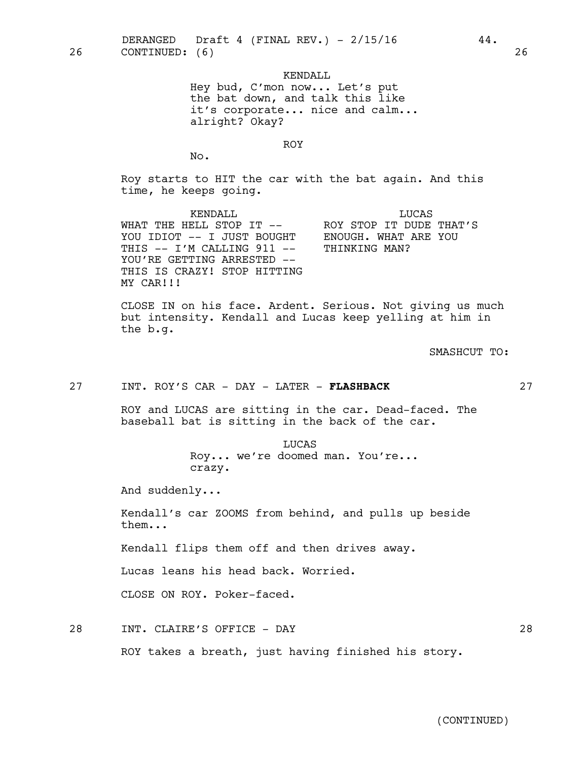KENDALL

Hey bud, C'mon now... Let's put the bat down, and talk this like it's corporate... nice and calm... alright? Okay?

ROY

 $N<sub>0</sub>$ .

Roy starts to HIT the car with the bat again. And this time, he keeps going.

KENDALJ. WHAT THE HELL STOP IT -- YOU IDIOT -- I JUST BOUGHT ENOUGH. WHAT ARE YOU THIS -- I'M CALLING 911 -- YOU'RE GETTING ARRESTED --THIS IS CRAZY! STOP HITTING MY CAR!!! **LUCAS** ROY STOP IT DUDE THAT'S THINKING MAN?

CLOSE IN on his face. Ardent. Serious. Not giving us much but intensity. Kendall and Lucas keep yelling at him in the b.g.

SMASHCUT TO:

27 INT. ROY'S CAR - DAY - LATER - **FLASHBACK** 27

ROY and LUCAS are sitting in the car. Dead-faced. The baseball bat is sitting in the back of the car.

> LUCAS Roy... we're doomed man. You're... crazy.

And suddenly...

Kendall's car ZOOMS from behind, and pulls up beside them...

Kendall flips them off and then drives away.

Lucas leans his head back. Worried.

CLOSE ON ROY. Poker-faced.

28 INT. CLAIRE'S OFFICE - DAY 28

ROY takes a breath, just having finished his story.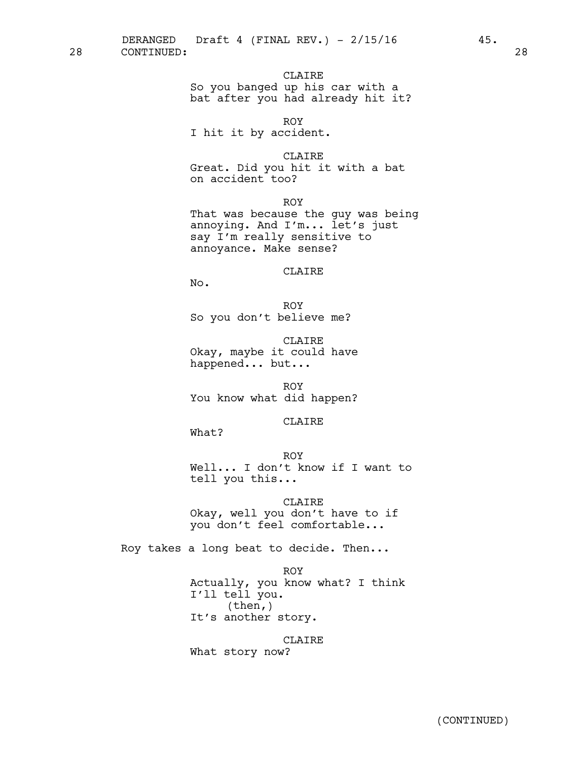## CLAIRE

So you banged up his car with a bat after you had already hit it?

ROY

I hit it by accident.

CLAIRE

Great. Did you hit it with a bat on accident too?

ROY

That was because the guy was being annoying. And I'm... let's just say I'm really sensitive to annoyance. Make sense?

#### CLAIRE

No.

ROY So you don't believe me?

CLAIRE Okay, maybe it could have happened... but...

ROY You know what did happen?

#### CLAIRE

What?

ROY Well... I don't know if I want to tell you this...

#### CLAIRE

Okay, well you don't have to if you don't feel comfortable...

Roy takes a long beat to decide. Then...

ROY Actually, you know what? I think I'll tell you. (then,) It's another story.

CLAIRE

What story now?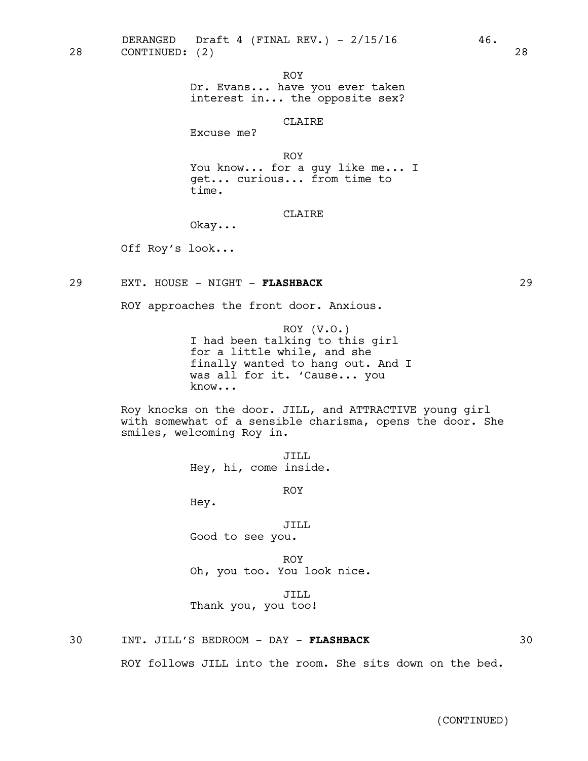Dr. Evans... have you ever taken interest in... the opposite sex?

#### CLAIRE

Excuse me?

ROY

You know... for a guy like me... I get... curious... from time to time.

## **CLAIRE**

Okay...

Off Roy's look...

# 29 EXT. HOUSE - NIGHT - **FLASHBACK** 29

ROY approaches the front door. Anxious.

ROY (V.O.) I had been talking to this girl for a little while, and she finally wanted to hang out. And I was all for it. 'Cause... you know...

Roy knocks on the door. JILL, and ATTRACTIVE young girl with somewhat of a sensible charisma, opens the door. She smiles, welcoming Roy in.

> JILL Hey, hi, come inside.

> > ROY

Hey.

JILL Good to see you.

ROY Oh, you too. You look nice.

JILL

Thank you, you too!

30 INT. JILL'S BEDROOM - DAY - **FLASHBACK** 30

ROY follows JILL into the room. She sits down on the bed.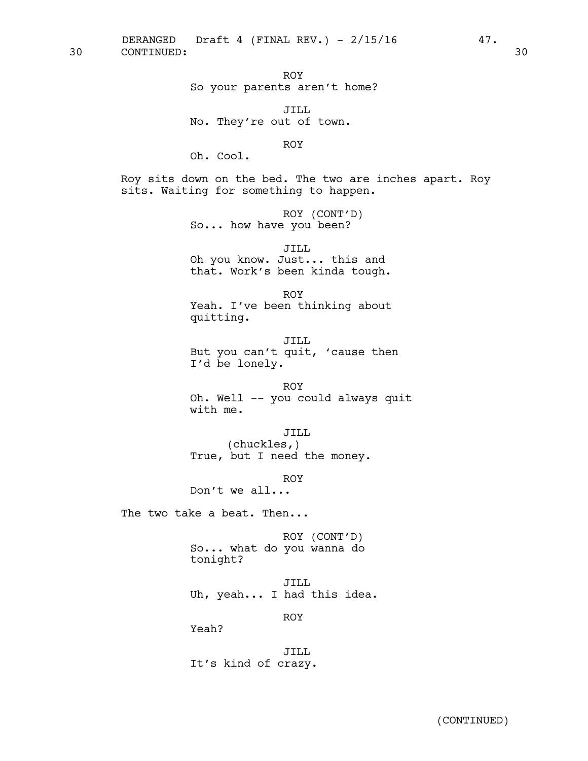# So your parents aren't home?

JILL No. They're out of town.

ROY

Oh. Cool.

Roy sits down on the bed. The two are inches apart. Roy sits. Waiting for something to happen.

> ROY (CONT'D) So... how have you been?

> > JILL

Oh you know. Just... this and that. Work's been kinda tough.

ROY Yeah. I've been thinking about quitting.

JILL But you can't quit, 'cause then I'd be lonely.

ROY Oh. Well -- you could always quit with me.

JILL

(chuckles,) True, but I need the money.

ROY

Don't we all...

The two take a beat. Then...

ROY (CONT'D) So... what do you wanna do tonight?

JILL Uh, yeah... I had this idea.

ROY

Yeah?

JILL It's kind of crazy.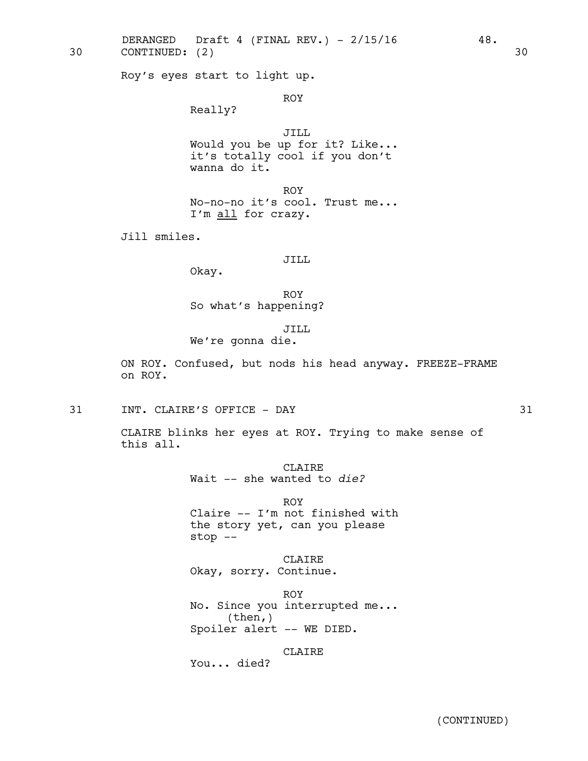Roy's eyes start to light up.

## ROY

Really?

JILL Would you be up for it? Like... it's totally cool if you don't wanna do it.

ROY No-no-no it's cool. Trust me... I'm all for crazy.

Jill smiles.

#### JILL

Okay.

ROY So what's happening?

JILL

We're gonna die.

ON ROY. Confused, but nods his head anyway. FREEZE-FRAME on ROY.

31 INT. CLAIRE'S OFFICE - DAY 31

CLAIRE blinks her eyes at ROY. Trying to make sense of this all.

> CLAIRE Wait -- she wanted to *die?*

ROY Claire -- I'm not finished with the story yet, can you please stop --

CLAIRE Okay, sorry. Continue.

ROY No. Since you interrupted me... (then,) Spoiler alert -- WE DIED.

CLAIRE

You... died?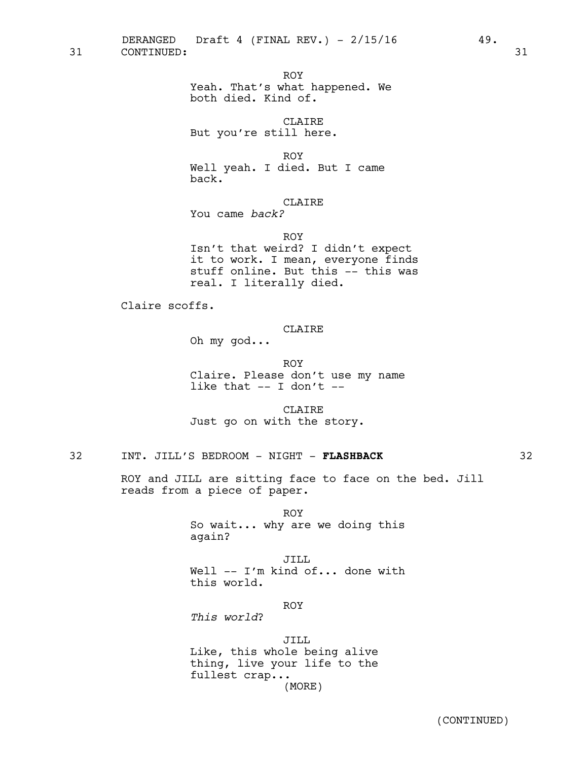Yeah. That's what happened. We both died. Kind of.

CLAIRE But you're still here.

ROY Well yeah. I died. But I came back.

#### CLAIRE

You came *back?*

ROY

Isn't that weird? I didn't expect it to work. I mean, everyone finds stuff online. But this -- this was real. I literally died.

Claire scoffs.

#### CLAIRE

Oh my god...

ROY Claire. Please don't use my name like that  $--$  I don't  $--$ 

CLAIRE Just go on with the story.

32 INT. JILL'S BEDROOM - NIGHT - **FLASHBACK** 32

ROY and JILL are sitting face to face on the bed. Jill reads from a piece of paper.

> ROY So wait... why are we doing this again?

> JILL Well -- I'm kind of... done with this world.

> > ROY

*This world*?

JILL Like, this whole being alive thing, live your life to the fullest crap... (MORE)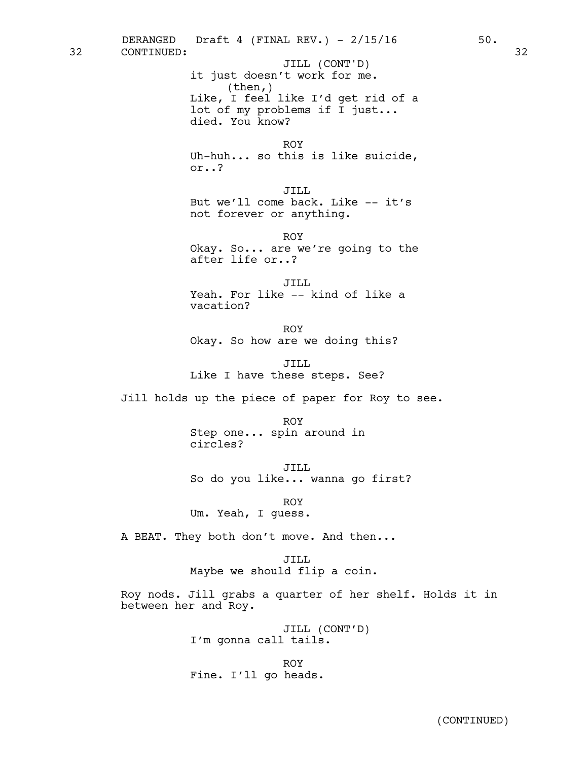ROY Fine. I'll go heads.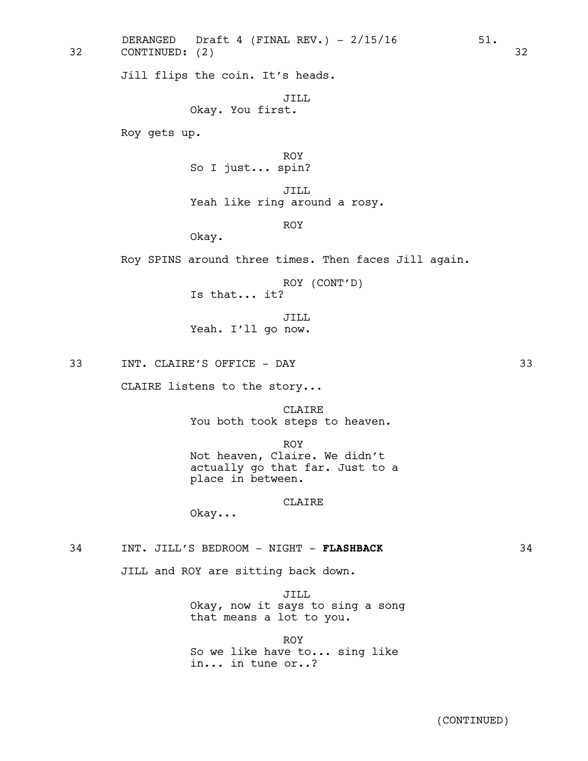Jill flips the coin. It's heads. JILL Okay. You first. Roy gets up. ROY So I just... spin? JILL Yeah like ring around a rosy. ROY Okay. Roy SPINS around three times. Then faces Jill again. ROY (CONT'D) Is that... it? JILL Yeah. I'll go now. 33 INT. CLAIRE'S OFFICE - DAY 33 CLAIRE listens to the story... CLAIRE You both took steps to heaven. ROY Not heaven, Claire. We didn't actually go that far. Just to a place in between. CLAIRE Okay... 34 INT. JILL'S BEDROOM - NIGHT - **FLASHBACK** 34 JILL and ROY are sitting back down. JILL. Okay, now it says to sing a song that means a lot to you. 32 CONTINUED: (2) 32 DERANGED Draft 4 (FINAL REV.) - 2/15/16 51.

> ROY So we like have to... sing like in... in tune or..?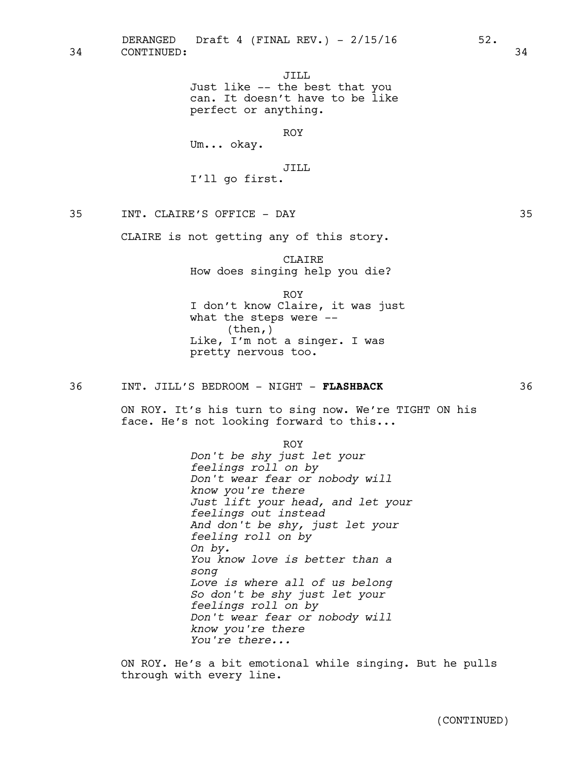JILL

Just like -- the best that you can. It doesn't have to be like perfect or anything.

ROY

Um... okay.

JILL

I'll go first.

35 INT. CLAIRE'S OFFICE - DAY 35

CLAIRE is not getting any of this story.

CLAIRE How does singing help you die?

ROY

I don't know Claire, it was just what the steps were -- (then,) Like, I'm not a singer. I was pretty nervous too.

36 INT. JILL'S BEDROOM - NIGHT - **FLASHBACK** 36

ON ROY. It's his turn to sing now. We're TIGHT ON his face. He's not looking forward to this...

ROY

*Don't be shy just let your feelings roll on by Don't wear fear or nobody will know you're there Just lift your head, and let your feelings out instead And don't be shy, just let your feeling roll on by On by. You know love is better than a song Love is where all of us belong So don't be shy just let your feelings roll on by Don't wear fear or nobody will know you're there You're there...*

ON ROY. He's a bit emotional while singing. But he pulls through with every line.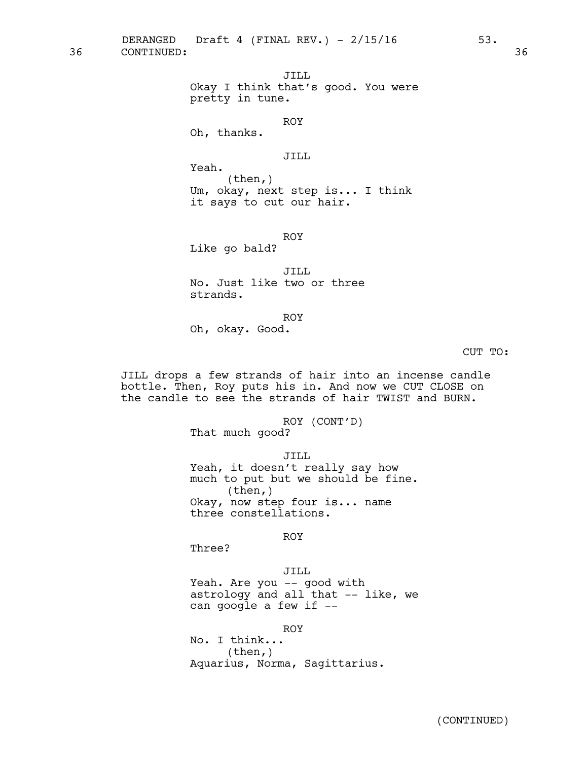JILL Okay I think that's good. You were pretty in tune.

ROY

Oh, thanks.

Yeah.

JILL

(then,) Um, okay, next step is... I think it says to cut our hair.

ROY

Like go bald?

JILL No. Just like two or three strands.

ROY

Oh, okay. Good.

#### CUT TO:

JILL drops a few strands of hair into an incense candle bottle. Then, Roy puts his in. And now we CUT CLOSE on the candle to see the strands of hair TWIST and BURN.

> ROY (CONT'D) That much good?

> > JILL

Yeah, it doesn't really say how much to put but we should be fine. (then,) Okay, now step four is... name three constellations.

ROY

Three?

# JILL

Yeah. Are you -- good with astrology and all that -- like, we can google a few if --

ROY

No. I think... (then,) Aquarius, Norma, Sagittarius.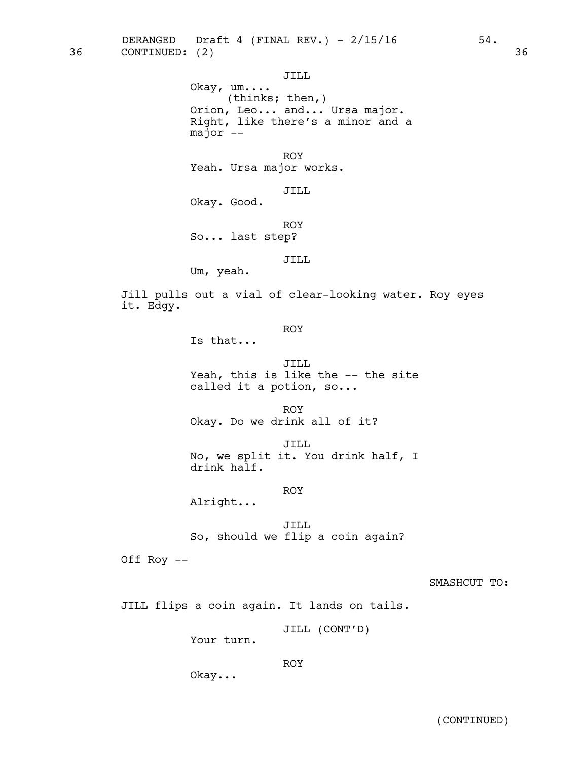JILL

Okay, um.... (thinks; then,) Orion, Leo... and... Ursa major. Right, like there's a minor and a major --

ROY Yeah. Ursa major works.

JILL

ROY So... last step?

JILL

Um, yeah.

Okay. Good.

Jill pulls out a vial of clear-looking water. Roy eyes it. Edgy.

ROY

Is that...

JILL Yeah, this is like the -- the site called it a potion, so...

ROY Okay. Do we drink all of it?

JILL No, we split it. You drink half, I drink half.

ROY

Alright... JILL

So, should we flip a coin again?

Off Roy --

SMASHCUT TO:

JILL flips a coin again. It lands on tails.

JILL (CONT'D)

Your turn.

ROY

Okay...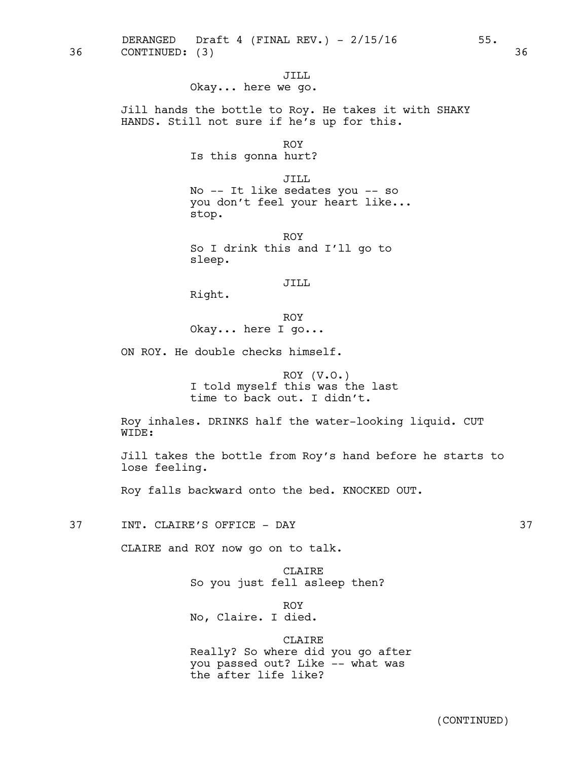JILL Okay... here we go.

Jill hands the bottle to Roy. He takes it with SHAKY HANDS. Still not sure if he's up for this.

> ROY Is this gonna hurt?

JILL No -- It like sedates you -- so you don't feel your heart like... stop.

ROY So I drink this and I'll go to sleep.

## JILL

Right.

ROY Okay... here I go...

ON ROY. He double checks himself.

ROY (V.O.) I told myself this was the last time to back out. I didn't.

Roy inhales. DRINKS half the water-looking liquid. CUT WIDE:

Jill takes the bottle from Roy's hand before he starts to lose feeling.

Roy falls backward onto the bed. KNOCKED OUT.

37 INT. CLAIRE'S OFFICE - DAY 37

CLAIRE and ROY now go on to talk.

CLAIRE So you just fell asleep then?

ROY

No, Claire. I died.

# CLAIRE

Really? So where did you go after you passed out? Like -- what was the after life like?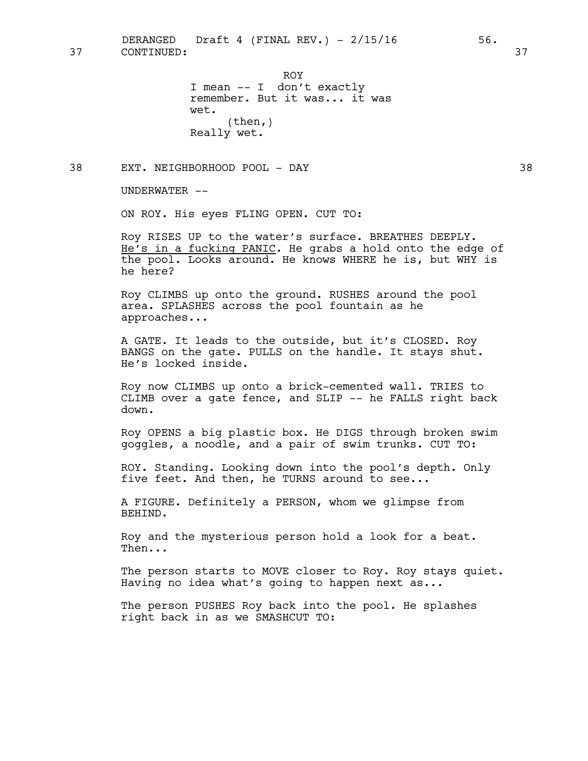38 EXT. NEIGHBORHOOD POOL - DAY 38

UNDERWATER --

ON ROY. His eyes FLING OPEN. CUT TO:

Roy RISES UP to the water's surface. BREATHES DEEPLY. He's in a fucking PANIC. He grabs a hold onto the edge of the pool. Looks around. He knows WHERE he is, but WHY is he here?

Roy CLIMBS up onto the ground. RUSHES around the pool area. SPLASHES across the pool fountain as he approaches...

A GATE. It leads to the outside, but it's CLOSED. Roy BANGS on the gate. PULLS on the handle. It stays shut. He's locked inside.

Roy now CLIMBS up onto a brick-cemented wall. TRIES to CLIMB over a gate fence, and SLIP -- he FALLS right back down.

Roy OPENS a big plastic box. He DIGS through broken swim goggles, a noodle, and a pair of swim trunks. CUT TO:

ROY. Standing. Looking down into the pool's depth. Only five feet. And then, he TURNS around to see...

A FIGURE. Definitely a PERSON, whom we glimpse from BEHIND.

Roy and the mysterious person hold a look for a beat. Then...

The person starts to MOVE closer to Roy. Roy stays quiet. Having no idea what's going to happen next as...

The person PUSHES Roy back into the pool. He splashes right back in as we SMASHCUT TO: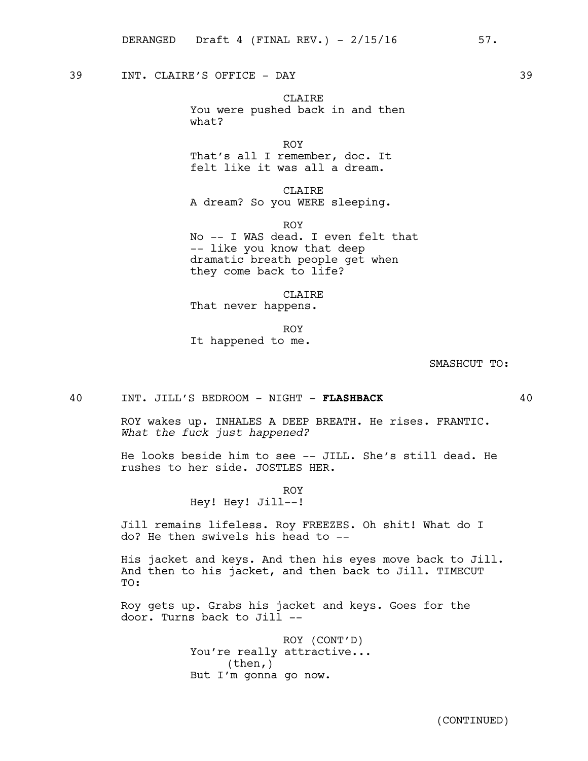CLAIRE You were pushed back in and then what?

ROY That's all I remember, doc. It felt like it was all a dream.

CLAIRE A dream? So you WERE sleeping.

ROY No -- I WAS dead. I even felt that -- like you know that deep dramatic breath people get when they come back to life?

CLAIRE That never happens.

ROY

It happened to me.

SMASHCUT TO:

#### 40 INT. JILL'S BEDROOM - NIGHT - **FLASHBACK** 40

ROY wakes up. INHALES A DEEP BREATH. He rises. FRANTIC. *What the fuck just happened?* 

He looks beside him to see -- JILL. She's still dead. He rushes to her side. JOSTLES HER.

ROY

Hey! Hey! Jill--!

Jill remains lifeless. Roy FREEZES. Oh shit! What do I do? He then swivels his head to --

His jacket and keys. And then his eyes move back to Jill. And then to his jacket, and then back to Jill. TIMECUT TO:

Roy gets up. Grabs his jacket and keys. Goes for the door. Turns back to Jill --

> ROY (CONT'D) You're really attractive... (then,) But I'm gonna go now.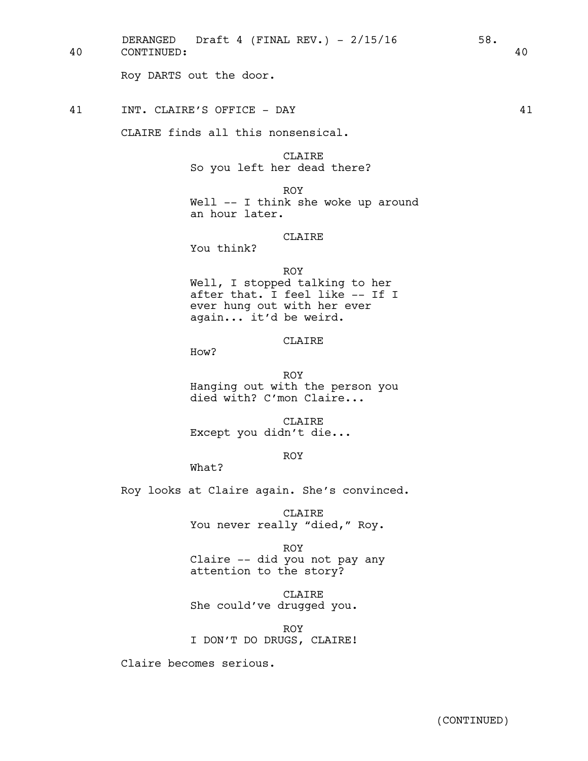Roy DARTS out the door.

41 INT. CLAIRE'S OFFICE - DAY 41

CLAIRE finds all this nonsensical.

CLAIRE So you left her dead there?

ROY Well -- I think she woke up around an hour later.

# CLAIRE

You think?

# ROY

Well, I stopped talking to her after that. I feel like -- If I ever hung out with her ever again... it'd be weird.

## CLAIRE

How?

ROY Hanging out with the person you died with? C'mon Claire...

CLAIRE Except you didn't die...

## ROY

What?

Roy looks at Claire again. She's convinced.

CLAIRE You never really "died," Roy.

ROY Claire -- did you not pay any attention to the story?

CLAIRE She could've drugged you.

ROY I DON'T DO DRUGS, CLAIRE!

Claire becomes serious.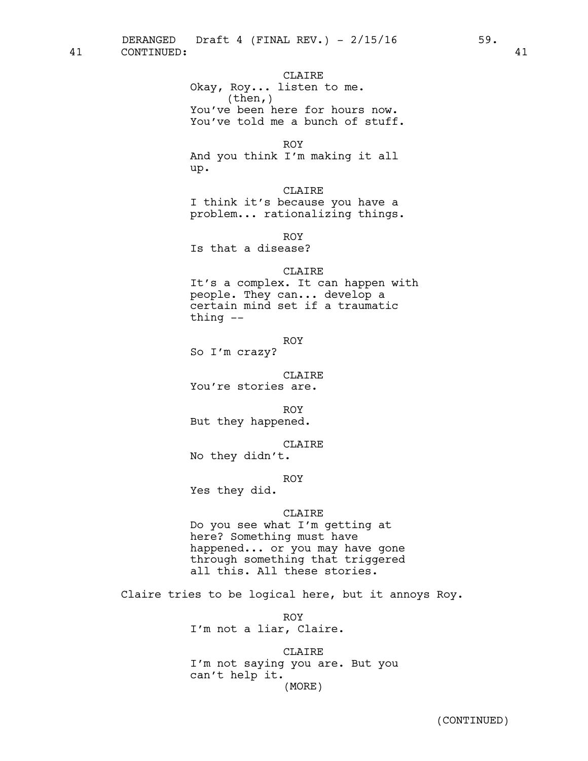CLAIRE Okay, Roy... listen to me. (then,) You've been here for hours now. You've told me a bunch of stuff.

ROY And you think I'm making it all up.

CLAIRE I think it's because you have a problem... rationalizing things.

ROY

Is that a disease?

## CLAIRE

It's a complex. It can happen with people. They can... develop a certain mind set if a traumatic thing --

ROY

So I'm crazy?

CLAIRE You're stories are.

ROY But they happened.

CLAIRE No they didn't.

ROY

Yes they did.

#### CLAIRE

Do you see what I'm getting at here? Something must have happened... or you may have gone through something that triggered all this. All these stories.

Claire tries to be logical here, but it annoys Roy.

ROY I'm not a liar, Claire.

CLAIRE I'm not saying you are. But you can't help it. (MORE)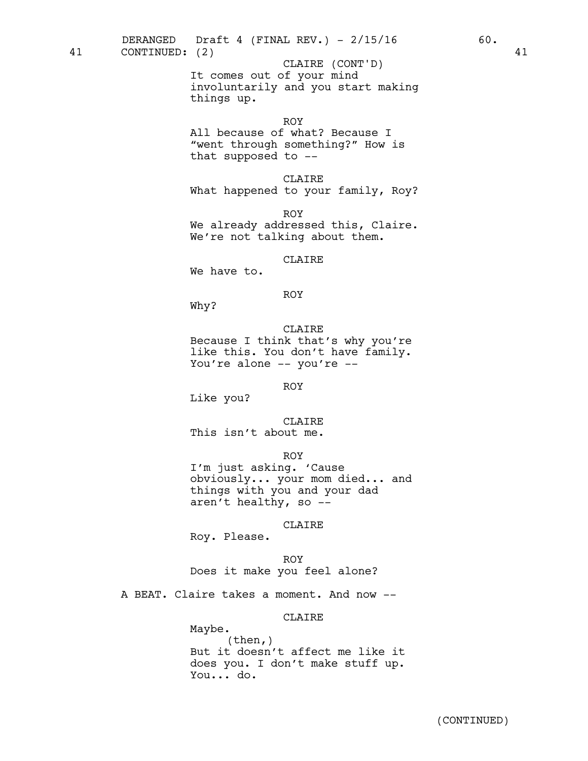41 CONTINUED: (2) 41 DERANGED Draft 4 (FINAL REV.) -  $2/15/16$  60.

> It comes out of your mind involuntarily and you start making things up. CLAIRE (CONT'D)

> > ROY

All because of what? Because I "went through something?" How is that supposed to --

CLAIRE

What happened to your family, Roy?

ROY We already addressed this, Claire. We're not talking about them.

## CLAIRE

We have to.

#### ROY

Why?

CLAIRE

Because I think that's why you're like this. You don't have family. You're alone -- you're --

#### ROY

Like you?

CLAIRE

This isn't about me.

ROY

I'm just asking. 'Cause obviously... your mom died... and things with you and your dad aren't healthy, so --

#### CLAIRE

Roy. Please.

ROY Does it make you feel alone?

A BEAT. Claire takes a moment. And now --

## CLAIRE

Maybe. (then,) But it doesn't affect me like it does you. I don't make stuff up. You... do.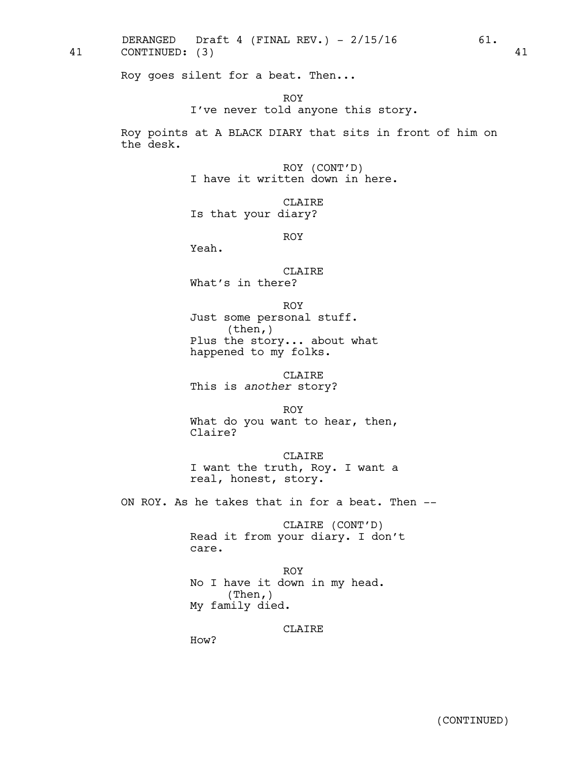Roy goes silent for a beat. Then...

ROY I've never told anyone this story.

Roy points at A BLACK DIARY that sits in front of him on the desk.

> ROY (CONT'D) I have it written down in here.

CLAIRE Is that your diary?

ROY

Yeah.

CLAIRE What's in there?

ROY Just some personal stuff. (then,) Plus the story... about what happened to my folks.

CLAIRE This is *another* story?

ROY What do you want to hear, then, Claire?

CLAIRE I want the truth, Roy. I want a real, honest, story.

ON ROY. As he takes that in for a beat. Then --

CLAIRE (CONT'D) Read it from your diary. I don't care.

ROY No I have it down in my head. (Then,) My family died.

CLAIRE

How?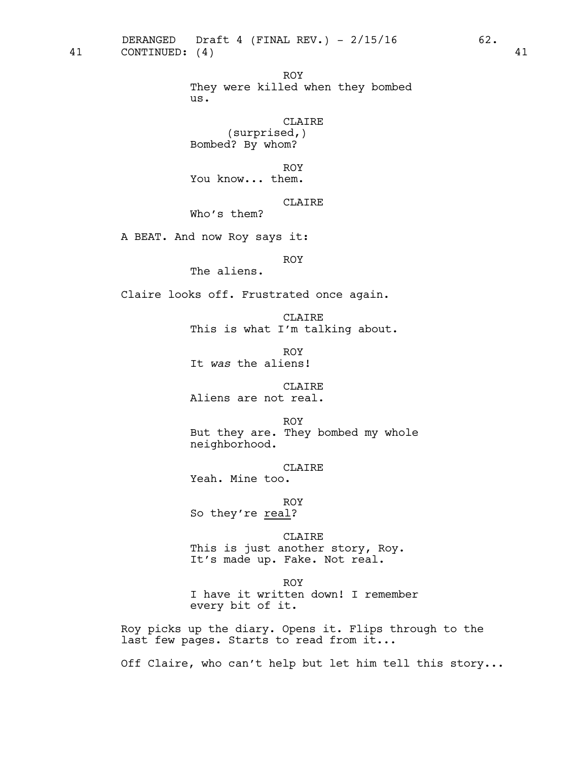They were killed when they bombed us.

# CLAIRE

(surprised,) Bombed? By whom?

ROY

You know... them.

CLAIRE

Who's them?

A BEAT. And now Roy says it:

ROY

The aliens.

Claire looks off. Frustrated once again.

CLAIRE This is what I'm talking about.

ROY It *was* the aliens!

CLAIRE Aliens are not real.

ROY But they are. They bombed my whole neighborhood.

CLAIRE Yeah. Mine too.

ROY So they're real?

CLAIRE This is just another story, Roy. It's made up. Fake. Not real.

ROY I have it written down! I remember every bit of it.

Roy picks up the diary. Opens it. Flips through to the last few pages. Starts to read from it...

Off Claire, who can't help but let him tell this story...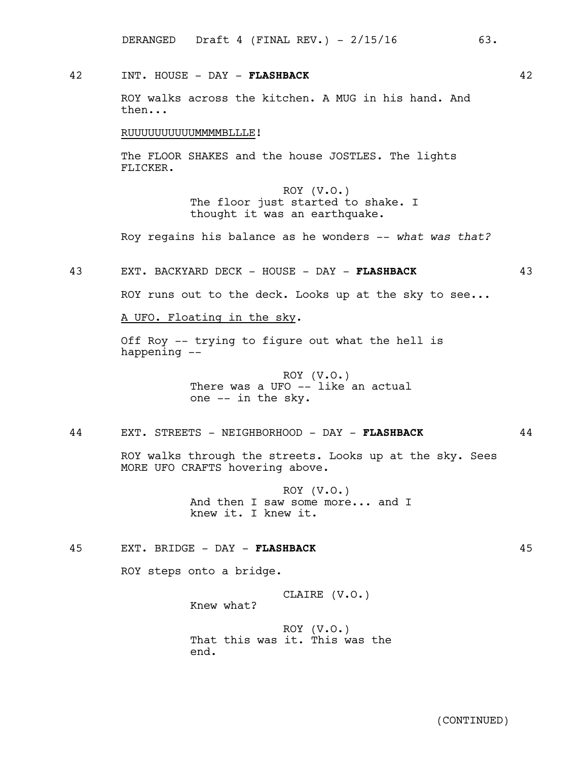# 42 INT. HOUSE - DAY - **FLASHBACK** 42

ROY walks across the kitchen. A MUG in his hand. And then...

#### RUUUUUUUUUUMMMMBLLLE!

The FLOOR SHAKES and the house JOSTLES. The lights FLICKER.

> ROY (V.O.) The floor just started to shake. I thought it was an earthquake.

Roy regains his balance as he wonders -- *what was that?*

43 EXT. BACKYARD DECK - HOUSE - DAY - **FLASHBACK** 43

ROY runs out to the deck. Looks up at the sky to see...

A UFO. Floating in the sky.

Off Roy -- trying to figure out what the hell is happening --

> ROY (V.O.) There was a UFO -- like an actual one -- in the sky.

#### 44 EXT. STREETS - NEIGHBORHOOD - DAY - **FLASHBACK** 44

ROY walks through the streets. Looks up at the sky. Sees MORE UFO CRAFTS hovering above.

> ROY (V.O.) And then I saw some more... and I knew it. I knew it.

#### 45 EXT. BRIDGE - DAY - **FLASHBACK** 45

ROY steps onto a bridge.

CLAIRE (V.O.)

Knew what?

ROY (V.O.) That this was it. This was the end.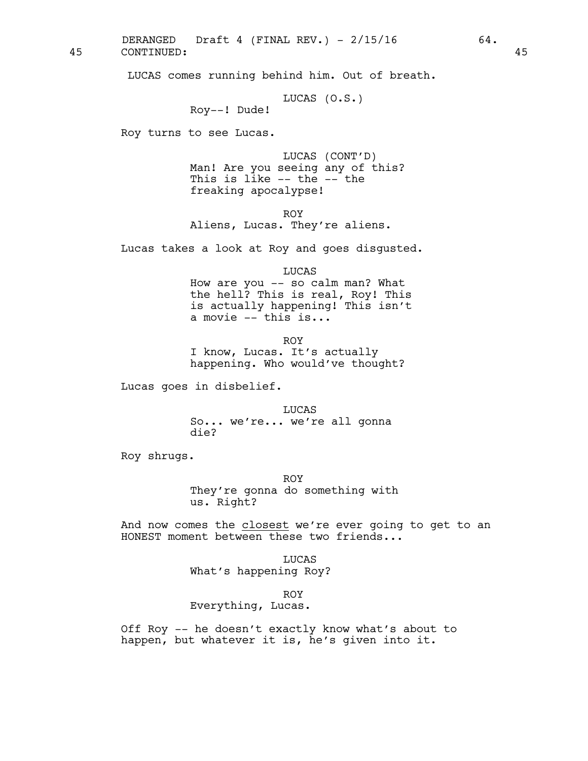LUCAS comes running behind him. Out of breath.

LUCAS (O.S.)

Roy--! Dude!

Roy turns to see Lucas.

LUCAS (CONT'D) Man! Are you seeing any of this? This is like -- the -- the freaking apocalypse!

ROY Aliens, Lucas. They're aliens.

Lucas takes a look at Roy and goes disgusted.

LUCAS

How are you -- so calm man? What the hell? This is real, Roy! This is actually happening! This isn't a movie  $-\overline{$  this is...

ROY I know, Lucas. It's actually happening. Who would've thought?

Lucas goes in disbelief.

**LUCAS** So... we're... we're all gonna die?

Roy shrugs.

ROY They're gonna do something with us. Right?

And now comes the closest we're ever going to get to an HONEST moment between these two friends...

> LUCAS What's happening Roy?

> > ROY

Everything, Lucas.

Off Roy -- he doesn't exactly know what's about to happen, but whatever it is, he's given into it.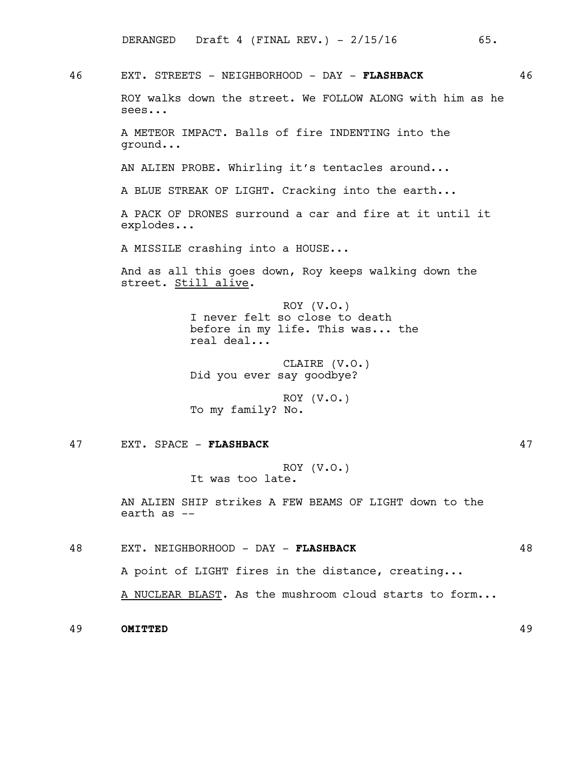46 EXT. STREETS - NEIGHBORHOOD - DAY - **FLASHBACK** 46 ROY walks down the street. We FOLLOW ALONG with him as he sees... A METEOR IMPACT. Balls of fire INDENTING into the ground... AN ALIEN PROBE. Whirling it's tentacles around... A BLUE STREAK OF LIGHT. Cracking into the earth... A PACK OF DRONES surround a car and fire at it until it explodes... A MISSILE crashing into a HOUSE... And as all this goes down, Roy keeps walking down the street. Still alive. ROY (V.O.) I never felt so close to death before in my life. This was... the real deal... CLAIRE (V.O.) Did you ever say goodbye? ROY (V.O.) To my family? No. 47 EXT. SPACE - **FLASHBACK** 47 ROY (V.O.) It was too late. AN ALIEN SHIP strikes A FEW BEAMS OF LIGHT down to the earth as -- 48 EXT. NEIGHBORHOOD - DAY - **FLASHBACK** 48 A point of LIGHT fires in the distance, creating... A NUCLEAR BLAST. As the mushroom cloud starts to form... 49 **OMITTED** 49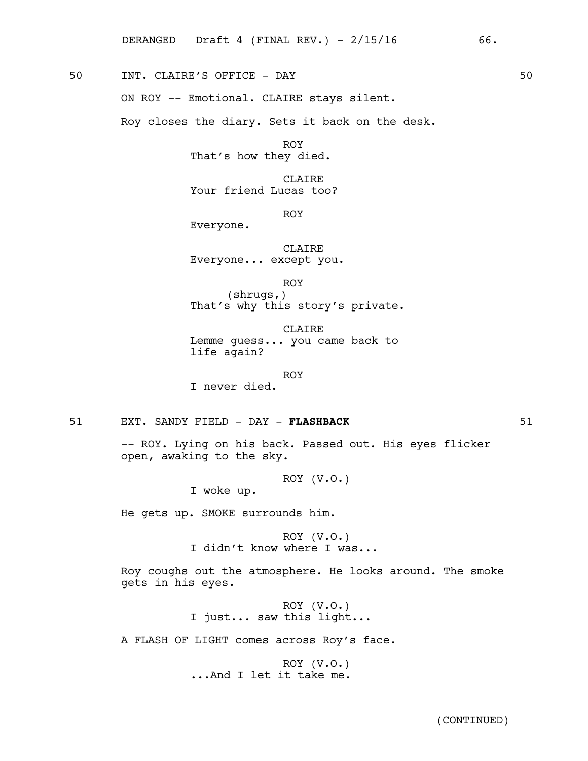DERANGED Draft 4 (FINAL REV.) -  $2/15/16$  66.

50 INT. CLAIRE'S OFFICE - DAY 50

ON ROY -- Emotional. CLAIRE stays silent.

Roy closes the diary. Sets it back on the desk.

ROY That's how they died.

CLAIRE Your friend Lucas too?

ROY

Everyone.

CLAIRE Everyone... except you.

ROY (shrugs,) That's why this story's private.

CLAIRE Lemme guess... you came back to life again?

ROY

I never died.

51 EXT. SANDY FIELD - DAY - **FLASHBACK** 51

-- ROY. Lying on his back. Passed out. His eyes flicker open, awaking to the sky.

ROY (V.O.)

I woke up.

He gets up. SMOKE surrounds him.

ROY (V.O.) I didn't know where I was...

Roy coughs out the atmosphere. He looks around. The smoke gets in his eyes.

> ROY (V.O.) I just... saw this light...

A FLASH OF LIGHT comes across Roy's face.

ROY (V.O.) ...And I let it take me.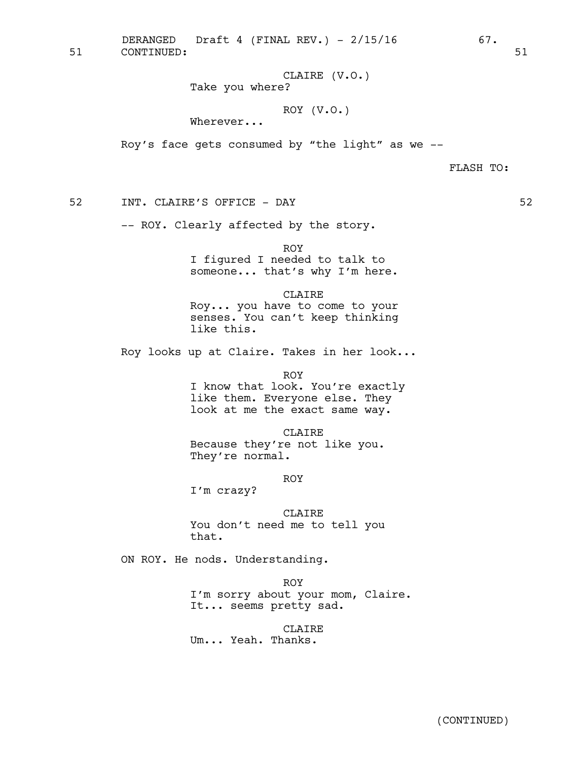CLAIRE (V.O.) Take you where?

ROY (V.O.)

Wherever...

Roy's face gets consumed by "the light" as we --

FLASH TO:

52 INT. CLAIRE'S OFFICE - DAY 52

-- ROY. Clearly affected by the story.

ROY

I figured I needed to talk to someone... that's why I'm here.

CLAIRE

Roy... you have to come to your senses. You can't keep thinking like this.

Roy looks up at Claire. Takes in her look...

ROY I know that look. You're exactly like them. Everyone else. They look at me the exact same way.

CLAIRE Because they're not like you. They're normal.

ROY

I'm crazy?

CLAIRE You don't need me to tell you that.

ON ROY. He nods. Understanding.

ROY

I'm sorry about your mom, Claire. It... seems pretty sad.

CLAIRE

Um... Yeah. Thanks.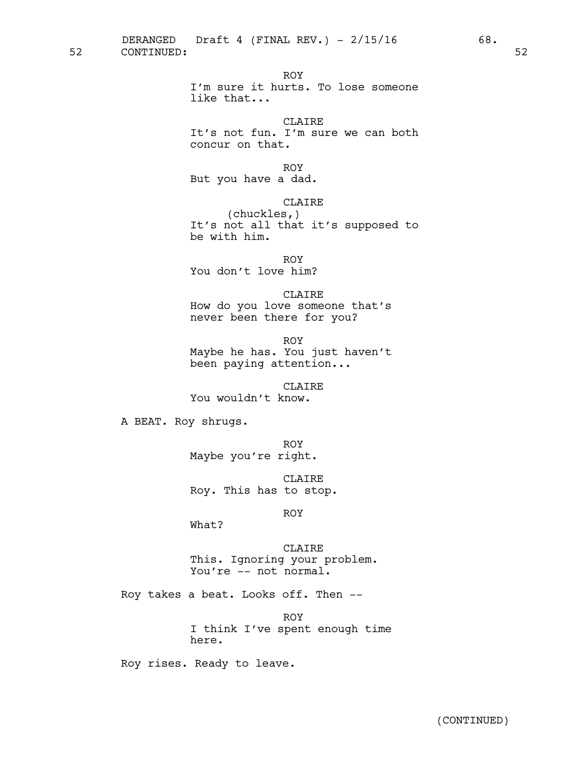I'm sure it hurts. To lose someone like that...

CLAIRE

It's not fun. I'm sure we can both concur on that.

ROY

But you have a dad.

CLAIRE

(chuckles,) It's not all that it's supposed to be with him.

ROY You don't love him?

CLAIRE How do you love someone that's never been there for you?

ROY Maybe he has. You just haven't

been paying attention...

CLAIRE You wouldn't know.

A BEAT. Roy shrugs.

ROY Maybe you're right.

CLAIRE Roy. This has to stop.

ROY

What?

CLAIRE This. Ignoring your problem. You're -- not normal.

Roy takes a beat. Looks off. Then --

ROY I think I've spent enough time here.

Roy rises. Ready to leave.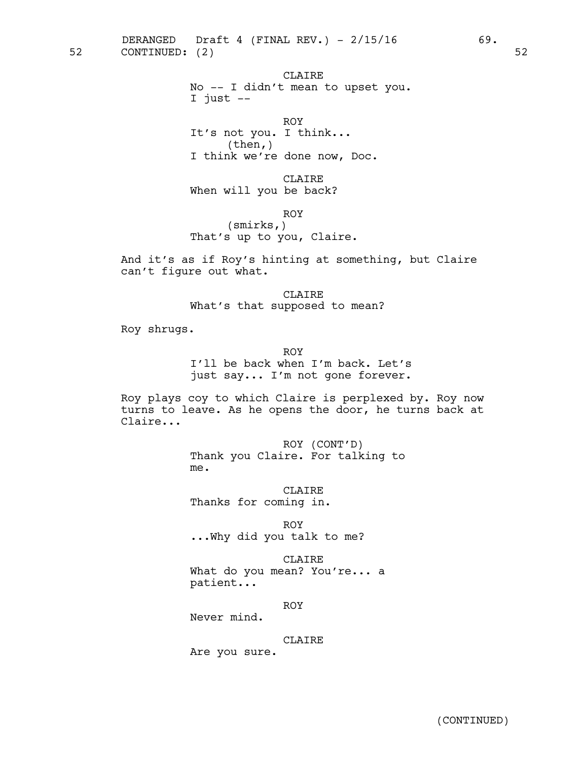CLAIRE No -- I didn't mean to upset you. I just  $--$ 

ROY It's not you. I think... (then,) I think we're done now, Doc.

CLAIRE

When will you be back?

ROY

(smirks,) That's up to you, Claire.

And it's as if Roy's hinting at something, but Claire can't figure out what.

> CLAIRE What's that supposed to mean?

Roy shrugs.

ROY I'll be back when I'm back. Let's just say... I'm not gone forever.

Roy plays coy to which Claire is perplexed by. Roy now turns to leave. As he opens the door, he turns back at Claire...

> ROY (CONT'D) Thank you Claire. For talking to me.

CLAIRE Thanks for coming in.

ROY ...Why did you talk to me?

CLAIRE What do you mean? You're... a patient...

ROY

Never mind.

CLAIRE

Are you sure.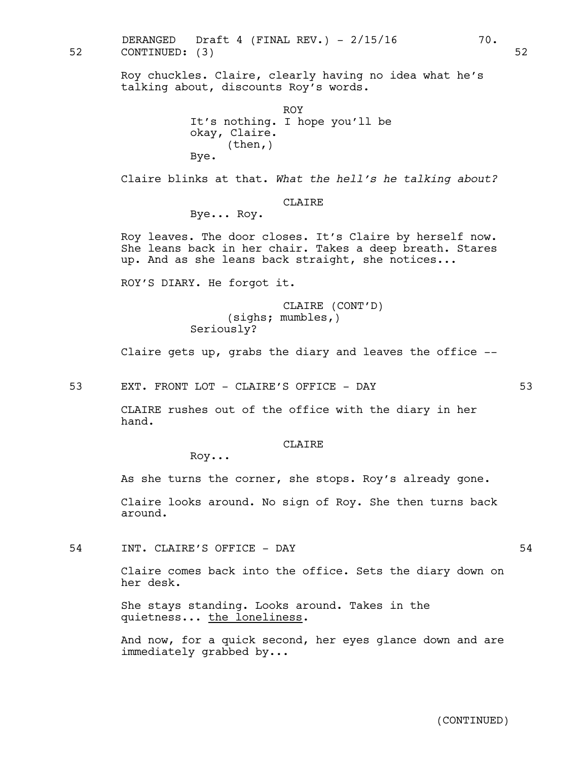ROY'S DIARY. He forgot it.

CLAIRE (CONT'D) (sighs; mumbles,) Seriously?

Claire gets up, grabs the diary and leaves the office --

53 EXT. FRONT LOT - CLAIRE'S OFFICE - DAY 53

CLAIRE rushes out of the office with the diary in her hand.

# CLAIRE

Roy...

As she turns the corner, she stops. Roy's already gone.

Claire looks around. No sign of Roy. She then turns back around.

54 INT. CLAIRE'S OFFICE - DAY 64

Claire comes back into the office. Sets the diary down on her desk.

She stays standing. Looks around. Takes in the quietness... the loneliness.

And now, for a quick second, her eyes glance down and are immediately grabbed by...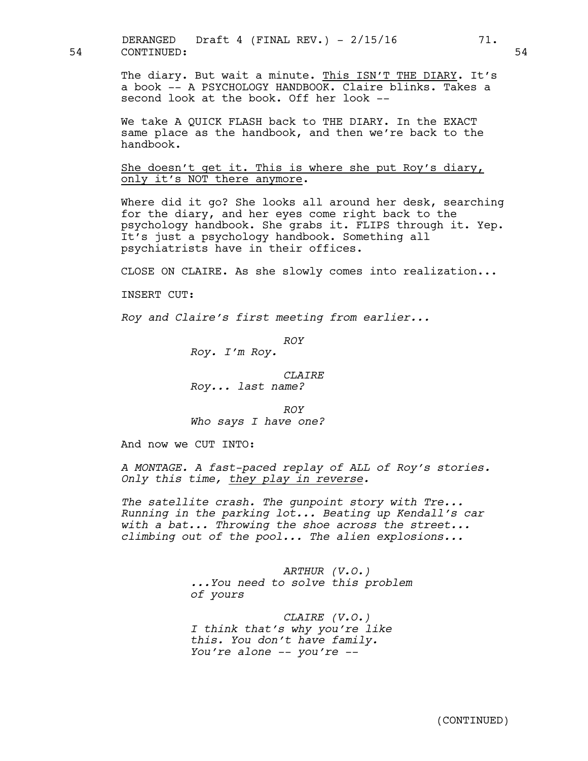The diary. But wait a minute. This ISN'T THE DIARY. It's a book -- A PSYCHOLOGY HANDBOOK. Claire blinks. Takes a second look at the book. Off her look --

We take A QUICK FLASH back to THE DIARY. In the EXACT same place as the handbook, and then we're back to the handbook.

She doesn't get it. This is where she put Roy's diary, only it's NOT there anymore.

Where did it go? She looks all around her desk, searching for the diary, and her eyes come right back to the psychology handbook. She grabs it. FLIPS through it. Yep. It's just a psychology handbook. Something all psychiatrists have in their offices.

CLOSE ON CLAIRE. As she slowly comes into realization...

INSERT CUT:

*Roy and Claire's first meeting from earlier...*

*ROY* 

*Roy. I'm Roy.*

# *CLAIRE*

*Roy... last name?*

*ROY Who says I have one?*

And now we CUT INTO:

*A MONTAGE. A fast-paced replay of ALL of Roy's stories. Only this time, they play in reverse.* 

*The satellite crash. The gunpoint story with Tre... Running in the parking lot... Beating up Kendall's car with a bat... Throwing the shoe across the street... climbing out of the pool... The alien explosions...* 

> *ARTHUR (V.O.) ...You need to solve this problem of yours*

*CLAIRE (V.O.) I think that's why you're like this. You don't have family. You're alone -- you're --*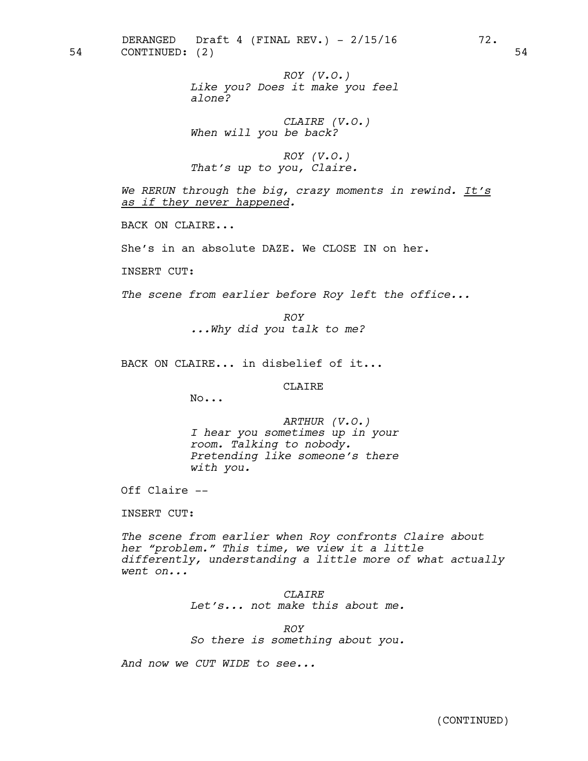*ROY (V.O.) Like you? Does it make you feel alone?*

*CLAIRE (V.O.) When will you be back?*

*ROY (V.O.) That's up to you, Claire.*

*We RERUN through the big, crazy moments in rewind. It's as if they never happened.*

BACK ON CLAIRE...

She's in an absolute DAZE. We CLOSE IN on her.

INSERT CUT:

*The scene from earlier before Roy left the office...*

*ROY ...Why did you talk to me?*

BACK ON CLAIRE... in disbelief of it...

CLAIRE

No...

*ARTHUR (V.O.) I hear you sometimes up in your room. Talking to nobody. Pretending like someone's there with you.* 

Off Claire --

INSERT CUT:

*The scene from earlier when Roy confronts Claire about her "problem." This time, we view it a little differently, understanding a little more of what actually went on...*

> *CLAIRE Let's... not make this about me.*

> *ROY So there is something about you.*

*And now we CUT WIDE to see...*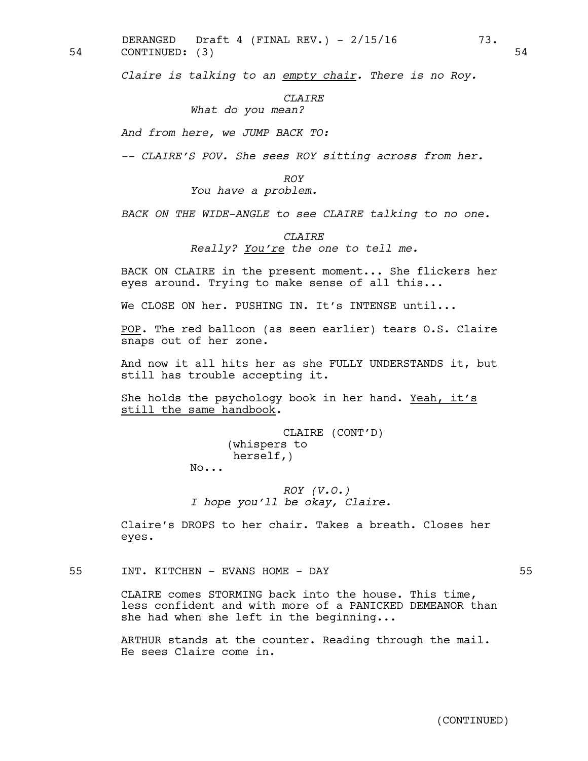*Claire is talking to an empty chair. There is no Roy.*

## *CLAIRE*

# *What do you mean?*

*And from here, we JUMP BACK TO:*

*-- CLAIRE'S POV. She sees ROY sitting across from her.*

*ROY*

*You have a problem.* 

*BACK ON THE WIDE-ANGLE to see CLAIRE talking to no one.*

# *CLAIRE*

*Really? You're the one to tell me.*

BACK ON CLAIRE in the present moment... She flickers her eyes around. Trying to make sense of all this...

We CLOSE ON her. PUSHING IN. It's INTENSE until...

POP. The red balloon (as seen earlier) tears O.S. Claire snaps out of her zone.

And now it all hits her as she FULLY UNDERSTANDS it, but still has trouble accepting it.

She holds the psychology book in her hand. Yeah, it's still the same handbook.

> CLAIRE (CONT'D) (whispers to herself,) No...

*ROY (V.O.) I hope you'll be okay, Claire.*

Claire's DROPS to her chair. Takes a breath. Closes her eyes.

55 INT. KITCHEN - EVANS HOME - DAY 55

CLAIRE comes STORMING back into the house. This time, less confident and with more of a PANICKED DEMEANOR than she had when she left in the beginning...

ARTHUR stands at the counter. Reading through the mail. He sees Claire come in.